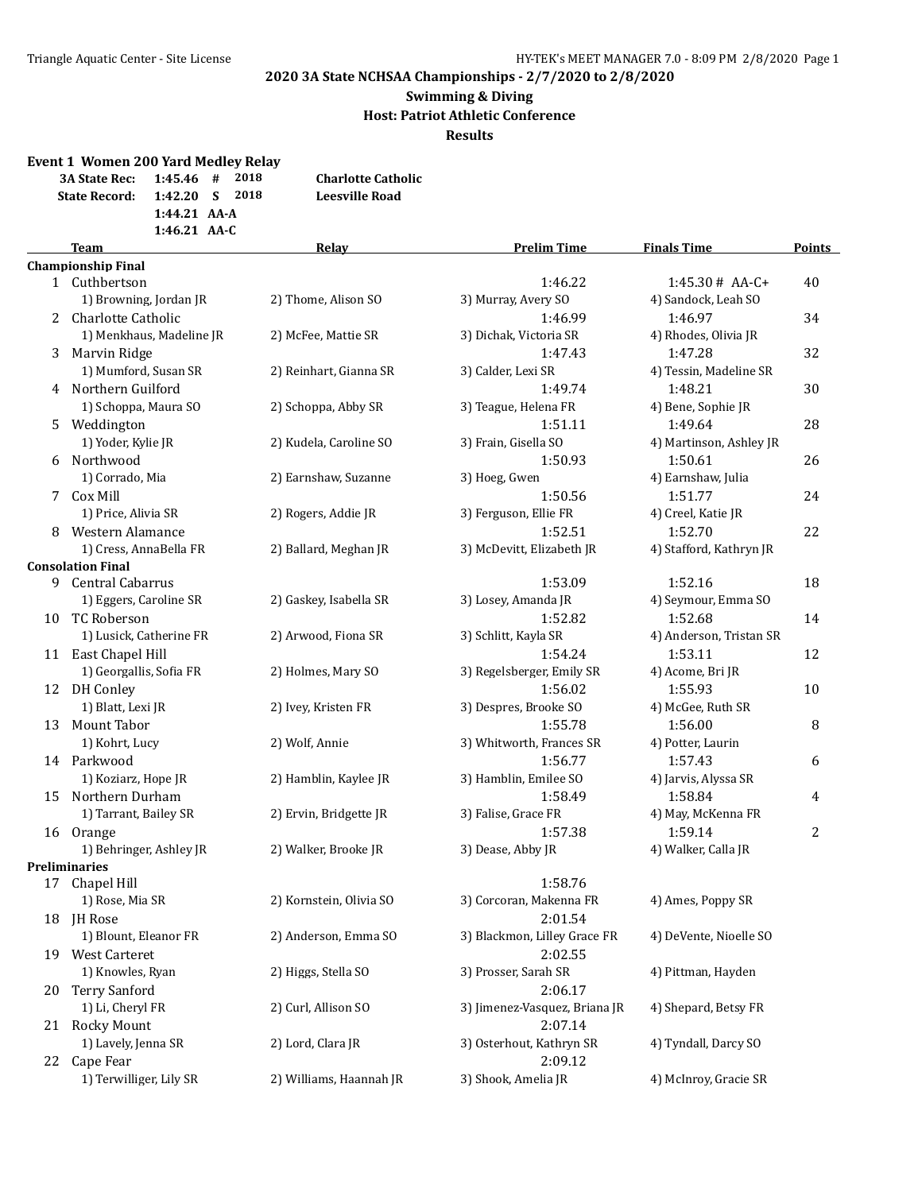# **Swimming & Diving Host: Patriot Athletic Conference Results**

|    | <b>Event 1 Women 200 Yard Medley Relay</b> |                |    |      |                           |                        |                         |               |
|----|--------------------------------------------|----------------|----|------|---------------------------|------------------------|-------------------------|---------------|
|    | <b>3A State Rec:</b>                       | 1:45.46        | #  | 2018 | <b>Charlotte Catholic</b> |                        |                         |               |
|    | <b>State Record:</b>                       | 1:42.20        | S. | 2018 | <b>Leesville Road</b>     |                        |                         |               |
|    |                                            | 1:44.21 AA-A   |    |      |                           |                        |                         |               |
|    |                                            | $1:46.21$ AA-C |    |      |                           |                        |                         |               |
|    | Team                                       |                |    |      | Relay                     | <b>Prelim Time</b>     | <b>Finals Time</b>      | <b>Points</b> |
|    | <b>Championship Final</b>                  |                |    |      |                           |                        |                         |               |
|    | 1 Cuthbertson                              |                |    |      |                           | 1:46.22                | $1:45.30#$ AA-C+        | 40            |
|    | 1) Browning, Jordan JR                     |                |    |      | 2) Thome, Alison SO       | 3) Murray, Avery SO    | 4) Sandock, Leah SO     |               |
| 2. | Charlotte Catholic                         |                |    |      |                           | 1:46.99                | 1:46.97                 | 34            |
|    | 1) Menkhaus, Madeline JR                   |                |    |      | 2) McFee, Mattie SR       | 3) Dichak, Victoria SR | 4) Rhodes, Olivia JR    |               |
| 3  | Marvin Ridge                               |                |    |      |                           | 1:47.43                | 1:47.28                 | 32            |
|    | 1) Mumford, Susan SR                       |                |    |      | 2) Reinhart, Gianna SR    | 3) Calder, Lexi SR     | 4) Tessin, Madeline SR  |               |
| 4  | Northern Guilford                          |                |    |      |                           | 1:49.74                | 1:48.21                 | 30            |
|    | 1) Schoppa, Maura SO                       |                |    |      | 2) Schoppa, Abby SR       | 3) Teague, Helena FR   | 4) Bene, Sophie JR      |               |
| 5. | Weddington                                 |                |    |      |                           | 1:51.11                | 1:49.64                 | 28            |
|    | 1) Yoder, Kylie JR                         |                |    |      | 2) Kudela, Caroline SO    | 3) Frain, Gisella SO   | 4) Martinson, Ashley JR |               |
| 6  | Northwood                                  |                |    |      |                           | 1:50.93                | 1:50.61                 | 26            |
|    | 1) Corrado, Mia                            |                |    |      | 2) Earnshaw, Suzanne      | 3) Hoeg, Gwen          | 4) Earnshaw, Julia      |               |
|    |                                            |                |    |      |                           |                        |                         |               |

| 1  | Cuthbertson              |                         | 1:46.22                       | $1:45.30#$ AA-C+        | 40 |
|----|--------------------------|-------------------------|-------------------------------|-------------------------|----|
|    | 1) Browning, Jordan JR   | 2) Thome, Alison SO     | 3) Murray, Avery SO           | 4) Sandock, Leah SO     |    |
|    | 2 Charlotte Catholic     |                         | 1:46.99                       | 1:46.97                 | 34 |
|    | 1) Menkhaus, Madeline JR | 2) McFee, Mattie SR     | 3) Dichak, Victoria SR        | 4) Rhodes, Olivia JR    |    |
|    | 3 Marvin Ridge           |                         | 1:47.43                       | 1:47.28                 | 32 |
|    | 1) Mumford, Susan SR     | 2) Reinhart, Gianna SR  | 3) Calder, Lexi SR            | 4) Tessin, Madeline SR  |    |
|    | 4 Northern Guilford      |                         | 1:49.74                       | 1:48.21                 | 30 |
|    | 1) Schoppa, Maura SO     | 2) Schoppa, Abby SR     | 3) Teague, Helena FR          | 4) Bene, Sophie JR      |    |
| 5  | Weddington               |                         | 1:51.11                       | 1:49.64                 | 28 |
|    | 1) Yoder, Kylie JR       | 2) Kudela, Caroline SO  | 3) Frain, Gisella SO          | 4) Martinson, Ashley JR |    |
|    | 6 Northwood              |                         | 1:50.93                       | 1:50.61                 | 26 |
|    | 1) Corrado, Mia          | 2) Earnshaw, Suzanne    | 3) Hoeg, Gwen                 | 4) Earnshaw, Julia      |    |
|    | 7 Cox Mill               |                         | 1:50.56                       | 1:51.77                 | 24 |
|    | 1) Price, Alivia SR      | 2) Rogers, Addie JR     | 3) Ferguson, Ellie FR         | 4) Creel, Katie JR      |    |
|    | 8 Western Alamance       |                         | 1:52.51                       | 1:52.70                 | 22 |
|    | 1) Cress, AnnaBella FR   | 2) Ballard, Meghan JR   | 3) McDevitt, Elizabeth JR     | 4) Stafford, Kathryn JR |    |
|    | <b>Consolation Final</b> |                         |                               |                         |    |
| 9  | Central Cabarrus         |                         | 1:53.09                       | 1:52.16                 | 18 |
|    | 1) Eggers, Caroline SR   | 2) Gaskey, Isabella SR  | 3) Losey, Amanda JR           | 4) Seymour, Emma SO     |    |
|    | 10 TC Roberson           |                         | 1:52.82                       | 1:52.68                 | 14 |
|    | 1) Lusick, Catherine FR  | 2) Arwood, Fiona SR     | 3) Schlitt, Kayla SR          | 4) Anderson, Tristan SR |    |
|    | 11 East Chapel Hill      |                         | 1:54.24                       | 1:53.11                 | 12 |
|    | 1) Georgallis, Sofia FR  | 2) Holmes, Mary SO      | 3) Regelsberger, Emily SR     | 4) Acome, Bri JR        |    |
|    | 12 DH Conley             |                         | 1:56.02                       | 1:55.93                 | 10 |
|    | 1) Blatt, Lexi JR        | 2) Ivey, Kristen FR     | 3) Despres, Brooke SO         | 4) McGee, Ruth SR       |    |
|    | 13 Mount Tabor           |                         | 1:55.78                       | 1:56.00                 | 8  |
|    | 1) Kohrt, Lucy           | 2) Wolf, Annie          | 3) Whitworth, Frances SR      | 4) Potter, Laurin       |    |
|    | 14 Parkwood              |                         | 1:56.77                       | 1:57.43                 | 6  |
|    | 1) Koziarz, Hope JR      | 2) Hamblin, Kaylee JR   | 3) Hamblin, Emilee SO         | 4) Jarvis, Alyssa SR    |    |
|    | 15 Northern Durham       |                         | 1:58.49                       | 1:58.84                 | 4  |
|    | 1) Tarrant, Bailey SR    | 2) Ervin, Bridgette JR  | 3) Falise, Grace FR           | 4) May, McKenna FR      |    |
|    | 16 Orange                |                         | 1:57.38                       | 1:59.14                 | 2  |
|    | 1) Behringer, Ashley JR  | 2) Walker, Brooke JR    | 3) Dease, Abby JR             | 4) Walker, Calla JR     |    |
|    | <b>Preliminaries</b>     |                         |                               |                         |    |
| 17 | Chapel Hill              |                         | 1:58.76                       |                         |    |
|    | 1) Rose, Mia SR          | 2) Kornstein, Olivia SO | 3) Corcoran, Makenna FR       | 4) Ames, Poppy SR       |    |
|    | 18 JH Rose               |                         | 2:01.54                       |                         |    |
|    | 1) Blount, Eleanor FR    | 2) Anderson, Emma SO    | 3) Blackmon, Lilley Grace FR  | 4) DeVente, Nioelle SO  |    |
| 19 | West Carteret            |                         | 2:02.55                       |                         |    |
|    | 1) Knowles, Ryan         | 2) Higgs, Stella SO     | 3) Prosser, Sarah SR          | 4) Pittman, Hayden      |    |
| 20 | <b>Terry Sanford</b>     |                         | 2:06.17                       |                         |    |
|    | 1) Li, Cheryl FR         | 2) Curl, Allison SO     | 3) Jimenez-Vasquez, Briana JR | 4) Shepard, Betsy FR    |    |
|    | 21 Rocky Mount           |                         | 2:07.14                       |                         |    |
|    | 1) Lavely, Jenna SR      | 2) Lord, Clara JR       | 3) Osterhout, Kathryn SR      | 4) Tyndall, Darcy SO    |    |
|    | 22 Cape Fear             |                         | 2:09.12                       |                         |    |
|    | 1) Terwilliger, Lily SR  | 2) Williams, Haannah JR | 3) Shook, Amelia JR           | 4) McInroy, Gracie SR   |    |
|    |                          |                         |                               |                         |    |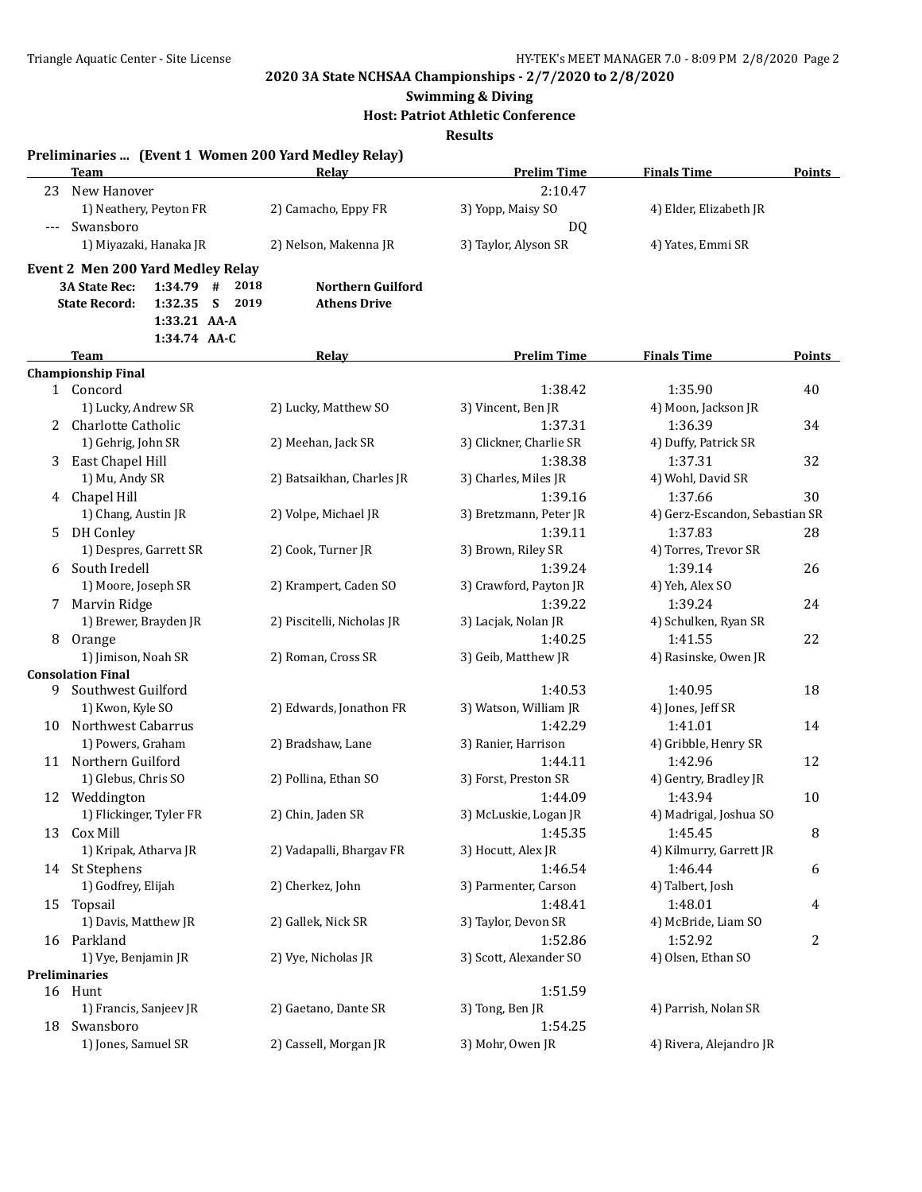**Swimming & Diving**

**Host: Patriot Athletic Conference**

**Results**

|       | Preliminaries  (Event 1 Women 200 Yard Medley Relay) |                            |                         |                                |        |
|-------|------------------------------------------------------|----------------------------|-------------------------|--------------------------------|--------|
|       | Team                                                 | Relay                      | <b>Prelim Time</b>      | <b>Finals Time</b>             | Points |
| 23    | New Hanover                                          |                            | 2:10.47                 |                                |        |
|       | 1) Neathery, Peyton FR                               | 2) Camacho, Eppy FR        | 3) Yopp, Maisy SO       | 4) Elder, Elizabeth JR         |        |
| $---$ | Swansboro                                            |                            | DQ                      |                                |        |
|       | 1) Miyazaki, Hanaka JR                               | 2) Nelson, Makenna JR      | 3) Taylor, Alyson SR    | 4) Yates, Emmi SR              |        |
|       | Event 2 Men 200 Yard Medley Relay                    |                            |                         |                                |        |
|       | <b>3A State Rec:</b><br>1:34.79<br>2018<br>#         | <b>Northern Guilford</b>   |                         |                                |        |
|       | S<br>2019<br><b>State Record:</b><br>1:32.35         | <b>Athens Drive</b>        |                         |                                |        |
|       | 1:33.21 AA-A                                         |                            |                         |                                |        |
|       | 1:34.74 AA-C                                         |                            |                         |                                |        |
|       | Team                                                 | <u>Relay</u>               | <b>Prelim Time</b>      | <b>Finals Time</b>             | Points |
|       | <b>Championship Final</b>                            |                            |                         |                                |        |
|       | 1 Concord                                            |                            | 1:38.42                 | 1:35.90                        | 40     |
|       | 1) Lucky, Andrew SR                                  | 2) Lucky, Matthew SO       | 3) Vincent, Ben JR      | 4) Moon, Jackson JR            |        |
| 2     | Charlotte Catholic                                   |                            | 1:37.31                 | 1:36.39                        | 34     |
|       | 1) Gehrig, John SR                                   | 2) Meehan, Jack SR         | 3) Clickner, Charlie SR | 4) Duffy, Patrick SR           |        |
| 3     | East Chapel Hill                                     |                            | 1:38.38                 | 1:37.31                        | 32     |
|       | 1) Mu, Andy SR                                       | 2) Batsaikhan, Charles JR  | 3) Charles, Miles JR    | 4) Wohl, David SR              |        |
| 4     | Chapel Hill                                          |                            | 1:39.16                 | 1:37.66                        | 30     |
|       | 1) Chang, Austin JR                                  | 2) Volpe, Michael JR       | 3) Bretzmann, Peter JR  | 4) Gerz-Escandon, Sebastian SR |        |
| 5.    | DH Conley                                            |                            | 1:39.11                 | 1:37.83                        | 28     |
|       | 1) Despres, Garrett SR                               | 2) Cook, Turner JR         | 3) Brown, Riley SR      | 4) Torres, Trevor SR           |        |
| 6     | South Iredell                                        |                            | 1:39.24                 | 1:39.14                        | 26     |
|       | 1) Moore, Joseph SR                                  | 2) Krampert, Caden SO      | 3) Crawford, Payton JR  | 4) Yeh, Alex SO                |        |
| 7     | Marvin Ridge                                         |                            | 1:39.22                 | 1:39.24                        | 24     |
|       | 1) Brewer, Brayden JR                                | 2) Piscitelli, Nicholas JR | 3) Lacjak, Nolan JR     | 4) Schulken, Ryan SR           |        |
| 8     | Orange                                               |                            | 1:40.25                 | 1:41.55                        | 22     |
|       | 1) Jimison, Noah SR                                  | 2) Roman, Cross SR         | 3) Geib, Matthew JR     | 4) Rasinske, Owen JR           |        |
|       | <b>Consolation Final</b>                             |                            |                         |                                |        |
| 9     | Southwest Guilford                                   |                            | 1:40.53                 | 1:40.95                        | 18     |
|       | 1) Kwon, Kyle SO                                     | 2) Edwards, Jonathon FR    | 3) Watson, William JR   | 4) Jones, Jeff SR              |        |
|       | 10 Northwest Cabarrus                                |                            | 1:42.29                 | 1:41.01                        | 14     |
|       | 1) Powers, Graham                                    | 2) Bradshaw, Lane          | 3) Ranier, Harrison     | 4) Gribble, Henry SR           |        |
|       | 11 Northern Guilford                                 |                            | 1:44.11                 | 1:42.96                        | 12     |
|       | 1) Glebus, Chris SO                                  | 2) Pollina, Ethan SO       | 3) Forst, Preston SR    | 4) Gentry, Bradley JR          |        |
|       | 12 Weddington                                        |                            | 1:44.09                 | 1:43.94                        | 10     |
|       | 1) Flickinger, Tyler FR                              | 2) Chin, Jaden SR          | 3) McLuskie, Logan JR   | 4) Madrigal, Joshua SO         |        |
| 13    | Cox Mill                                             |                            | 1:45.35                 | 1:45.45                        | $\, 8$ |
|       | 1) Kripak, Atharva JR                                | 2) Vadapalli, Bhargav FR   | 3) Hocutt, Alex JR      | 4) Kilmurry, Garrett JR        |        |
|       | 14 St Stephens                                       |                            | 1:46.54                 | 1:46.44                        | 6      |
|       | 1) Godfrey, Elijah                                   | 2) Cherkez, John           | 3) Parmenter, Carson    | 4) Talbert, Josh               |        |
| 15    | Topsail                                              |                            | 1:48.41                 | 1:48.01                        | 4      |
|       | 1) Davis, Matthew JR                                 | 2) Gallek, Nick SR         | 3) Taylor, Devon SR     | 4) McBride, Liam SO            |        |
|       | 16 Parkland                                          |                            | 1:52.86                 | 1:52.92                        | 2      |
|       | 1) Vye, Benjamin JR                                  | 2) Vye, Nicholas JR        | 3) Scott, Alexander SO  | 4) Olsen, Ethan SO             |        |
|       | Preliminaries                                        |                            |                         |                                |        |
|       | 16 Hunt                                              |                            | 1:51.59                 |                                |        |
|       | 1) Francis, Sanjeev JR                               | 2) Gaetano, Dante SR       | 3) Tong, Ben JR         | 4) Parrish, Nolan SR           |        |
| 18    | Swansboro                                            |                            | 1:54.25                 |                                |        |
|       | 1) Jones, Samuel SR                                  | 2) Cassell, Morgan JR      | 3) Mohr, Owen JR        | 4) Rivera, Alejandro JR        |        |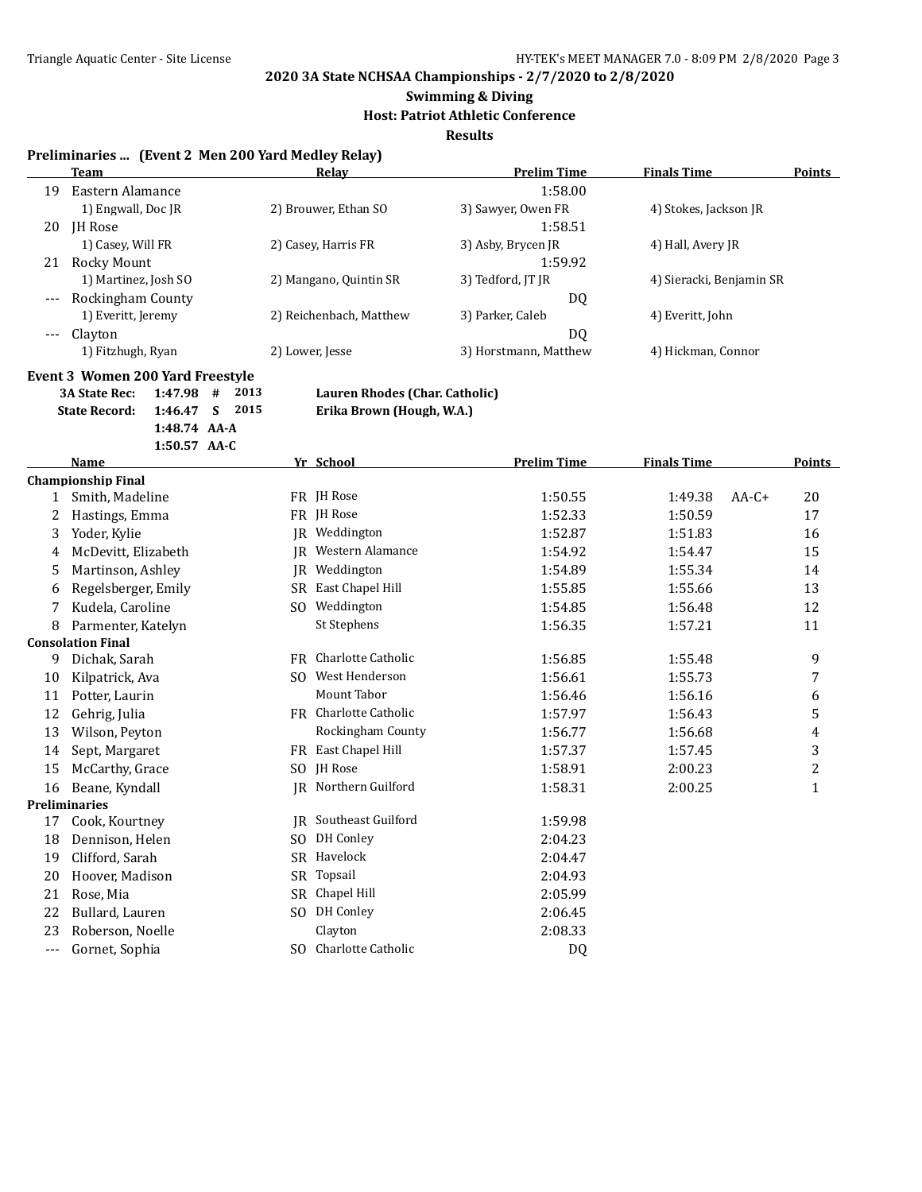# **Swimming & Diving**

**Host: Patriot Athletic Conference**

**Results**

#### **Preliminaries ... (Event 2 Men 200 Yard Medley Relay)**

|       | Team                 | Relay                   | <b>Prelim Time</b>    | <b>Finals Time</b>       | <b>Points</b> |
|-------|----------------------|-------------------------|-----------------------|--------------------------|---------------|
| 19    | Eastern Alamance     |                         | 1:58.00               |                          |               |
|       | 1) Engwall, Doc JR   | 2) Brouwer, Ethan SO    | 3) Sawyer, Owen FR    | 4) Stokes, Jackson JR    |               |
| 20    | JH Rose              |                         | 1:58.51               |                          |               |
|       | 1) Casey, Will FR    | 2) Casey, Harris FR     | 3) Asby, Brycen JR    | 4) Hall, Avery JR        |               |
| 21    | Rocky Mount          |                         | 1:59.92               |                          |               |
|       | 1) Martinez, Josh SO | 2) Mangano, Quintin SR  | 3) Tedford, JT JR     | 4) Sieracki, Benjamin SR |               |
| $---$ | Rockingham County    |                         | DQ                    |                          |               |
|       | 1) Everitt, Jeremy   | 2) Reichenbach, Matthew | 3) Parker, Caleb      | 4) Everitt, John         |               |
| $---$ | Clayton              |                         | DQ                    |                          |               |
|       | 1) Fitzhugh, Ryan    | 2) Lower, Jesse         | 3) Horstmann, Matthew | 4) Hickman, Connor       |               |

#### **Event 3 Women 200 Yard Freestyle**

| 3A State Rec: 1:47.98 # 2013 |                |  |  |
|------------------------------|----------------|--|--|
| State Record: 1:46.47 S 2015 |                |  |  |
|                              | $1:48.74$ AA-A |  |  |
|                              | $1:50.57$ AA-C |  |  |

**Lauren Rhodes (Char. Catholic) State Record: 1:46.47 S 2015 Erika Brown (Hough, W.A.)**

|              | 1.30.37 AA-C              |           |                       |                    |                    |         |               |
|--------------|---------------------------|-----------|-----------------------|--------------------|--------------------|---------|---------------|
|              | <b>Name</b>               |           | Yr School             | <b>Prelim Time</b> | <b>Finals Time</b> |         | <b>Points</b> |
|              | <b>Championship Final</b> |           |                       |                    |                    |         |               |
| $\mathbf{1}$ | Smith, Madeline           |           | FR JH Rose            | 1:50.55            | 1:49.38            | $AA-C+$ | 20            |
| 2            | Hastings, Emma            | FR        | <b>IH Rose</b>        | 1:52.33            | 1:50.59            |         | 17            |
| 3            | Yoder, Kylie              | IR        | Weddington            | 1:52.87            | 1:51.83            |         | 16            |
| 4            | McDevitt, Elizabeth       | IR.       | Western Alamance      | 1:54.92            | 1:54.47            |         | 15            |
| 5            | Martinson, Ashley         | IR        | Weddington            | 1:54.89            | 1:55.34            |         | 14            |
| 6            | Regelsberger, Emily       | <b>SR</b> | East Chapel Hill      | 1:55.85            | 1:55.66            |         | 13            |
| 7            | Kudela, Caroline          | SO.       | Weddington            | 1:54.85            | 1:56.48            |         | 12            |
| 8            | Parmenter, Katelyn        |           | St Stephens           | 1:56.35            | 1:57.21            |         | 11            |
|              | <b>Consolation Final</b>  |           |                       |                    |                    |         |               |
| 9            | Dichak, Sarah             | <b>FR</b> | Charlotte Catholic    | 1:56.85            | 1:55.48            |         | 9             |
| 10           | Kilpatrick, Ava           | SO.       | West Henderson        | 1:56.61            | 1:55.73            |         | 7             |
| 11           | Potter, Laurin            |           | Mount Tabor           | 1:56.46            | 1:56.16            |         | 6             |
| 12           | Gehrig, Julia             |           | FR Charlotte Catholic | 1:57.97            | 1:56.43            |         | 5             |
| 13           | Wilson, Peyton            |           | Rockingham County     | 1:56.77            | 1:56.68            |         | 4             |
| 14           | Sept, Margaret            | <b>FR</b> | East Chapel Hill      | 1:57.37            | 1:57.45            |         | 3             |
| 15           | McCarthy, Grace           | SO.       | <b>IH</b> Rose        | 1:58.91            | 2:00.23            |         | 2             |
| 16           | Beane, Kyndall            | IR.       | Northern Guilford     | 1:58.31            | 2:00.25            |         | $\mathbf{1}$  |
|              | <b>Preliminaries</b>      |           |                       |                    |                    |         |               |
| 17           | Cook, Kourtney            | IR        | Southeast Guilford    | 1:59.98            |                    |         |               |
| 18           | Dennison, Helen           | SO.       | <b>DH</b> Conley      | 2:04.23            |                    |         |               |
| 19           | Clifford, Sarah           | <b>SR</b> | Havelock              | 2:04.47            |                    |         |               |
| 20           | Hoover, Madison           | <b>SR</b> | Topsail               | 2:04.93            |                    |         |               |
| 21           | Rose, Mia                 | <b>SR</b> | Chapel Hill           | 2:05.99            |                    |         |               |
| 22           | Bullard, Lauren           | SO.       | DH Conley             | 2:06.45            |                    |         |               |
| 23           | Roberson, Noelle          |           | Clayton               | 2:08.33            |                    |         |               |

--- Gornet, Sophia SO Charlotte Catholic DQ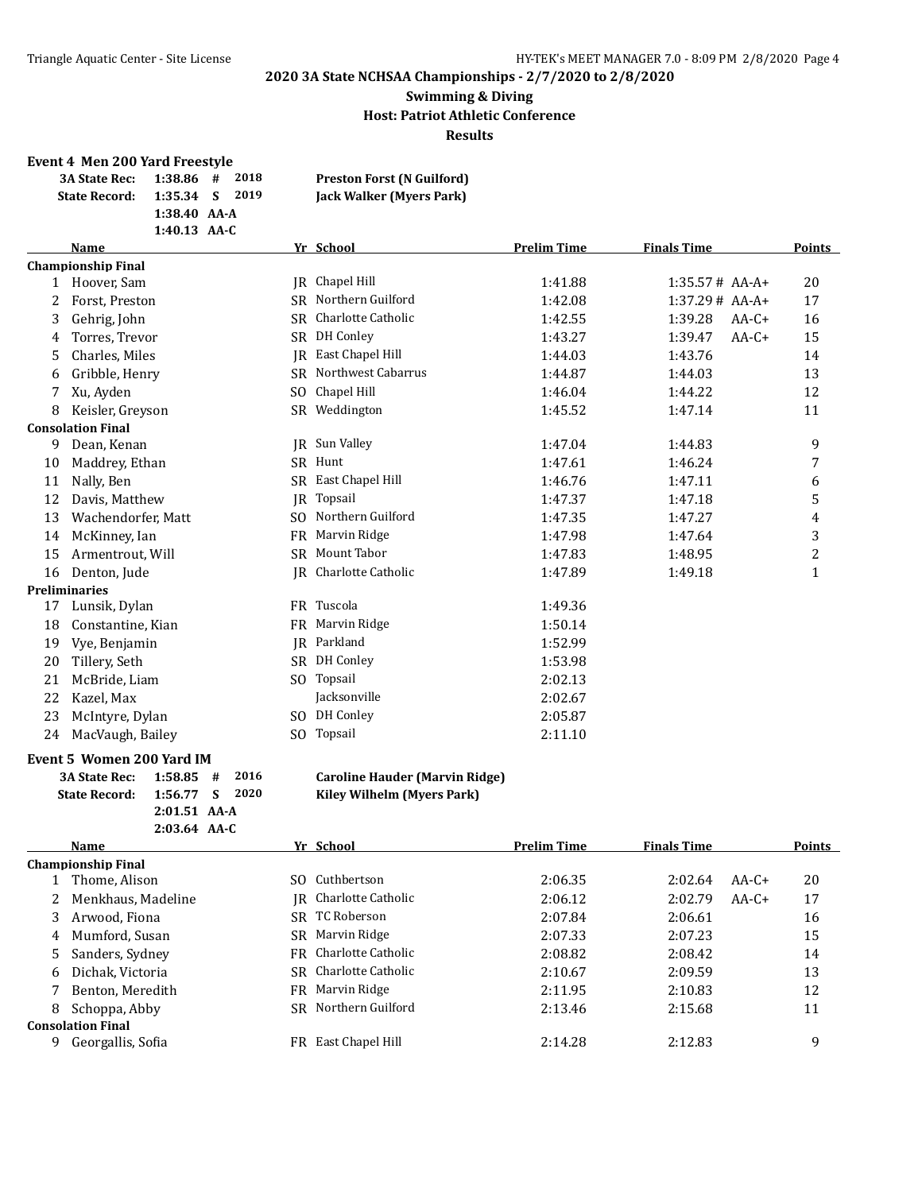## **Swimming & Diving Host: Patriot Athletic Conference Results**

#### **Event 4 Men 200 Yard Freestyle**

| --------------------------------- |                |      |                                   |
|-----------------------------------|----------------|------|-----------------------------------|
| 3A State Rec: 1:38.86 #           |                | 2018 | <b>Preston Forst (N Guilford)</b> |
| <b>State Record:</b>              | 1:35.34 S      | 2019 | Jack Walker (Myers Park)          |
|                                   | $1:38.40$ AA-A |      |                                   |
|                                   | 1:40.13 $AA-C$ |      |                                   |

|    | Name                      |           | Yr School             | <b>Prelim Time</b> | <b>Finals Time</b> | Points       |
|----|---------------------------|-----------|-----------------------|--------------------|--------------------|--------------|
|    | <b>Championship Final</b> |           |                       |                    |                    |              |
| 1  | Hoover, Sam               | IR        | Chapel Hill           | 1:41.88            | $1:35.57#$ AA-A+   | 20           |
| 2  | Forst, Preston            |           | SR Northern Guilford  | 1:42.08            | $1:37.29# AA-A+$   | 17           |
| 3  | Gehrig, John              | SR        | Charlotte Catholic    | 1:42.55            | 1:39.28<br>$AA-C+$ | 16           |
| 4  | Torres, Trevor            | SR        | DH Conley             | 1:43.27            | 1:39.47<br>$AA-C+$ | 15           |
| 5  | Charles, Miles            | IR        | East Chapel Hill      | 1:44.03            | 1:43.76            | 14           |
| 6  | Gribble, Henry            |           | SR Northwest Cabarrus | 1:44.87            | 1:44.03            | 13           |
| 7  | Xu, Ayden                 | SO.       | Chapel Hill           | 1:46.04            | 1:44.22            | 12           |
| 8  | Keisler, Greyson          |           | SR Weddington         | 1:45.52            | 1:47.14            | 11           |
|    | <b>Consolation Final</b>  |           |                       |                    |                    |              |
| 9  | Dean, Kenan               | IR        | Sun Valley            | 1:47.04            | 1:44.83            | 9            |
| 10 | Maddrey, Ethan            |           | SR Hunt               | 1:47.61            | 1:46.24            | 7            |
| 11 | Nally, Ben                |           | SR East Chapel Hill   | 1:46.76            | 1:47.11            | 6            |
| 12 | Davis, Matthew            | IR.       | Topsail               | 1:47.37            | 1:47.18            | 5            |
| 13 | Wachendorfer, Matt        | SO.       | Northern Guilford     | 1:47.35            | 1:47.27            | 4            |
| 14 | McKinney, Ian             | <b>FR</b> | Marvin Ridge          | 1:47.98            | 1:47.64            | 3            |
| 15 | Armentrout, Will          | SR.       | Mount Tabor           | 1:47.83            | 1:48.95            | 2            |
| 16 | Denton, Jude              | IR        | Charlotte Catholic    | 1:47.89            | 1:49.18            | $\mathbf{1}$ |
|    | <b>Preliminaries</b>      |           |                       |                    |                    |              |
| 17 | Lunsik, Dylan             | FR.       | Tuscola               | 1:49.36            |                    |              |
| 18 | Constantine, Kian         |           | FR Marvin Ridge       | 1:50.14            |                    |              |
| 19 | Vye, Benjamin             | IR        | Parkland              | 1:52.99            |                    |              |
| 20 | Tillery, Seth             |           | SR DH Conley          | 1:53.98            |                    |              |
| 21 | McBride, Liam             | SO.       | Topsail               | 2:02.13            |                    |              |
| 22 | Kazel, Max                |           | Jacksonville          | 2:02.67            |                    |              |
| 23 | McIntyre, Dylan           | SO.       | DH Conley             | 2:05.87            |                    |              |
| 24 | MacVaugh, Bailey          | SO.       | Topsail               | 2:11.10            |                    |              |
|    |                           |           |                       |                    |                    |              |

#### **Event 5 Women 200 Yard IM**

| 3A State Rec: 1:58.85 # 2016 |                |  |
|------------------------------|----------------|--|
| State Record: 1:56.77 S 2020 |                |  |
|                              | $2:01.51$ AA-A |  |
|                              | $2:03.64$ AA-C |  |

# **3A State Rec: 1:58.85 # 2016 Caroline Hauder (Marvin Ridge)**

**State Record: 1:56.77 S 2020 Kiley Wilhelm (Myers Park)**

|    | <b>Name</b>               |     | Yr School             | <b>Prelim Time</b> | <b>Finals Time</b> |         | <b>Points</b> |
|----|---------------------------|-----|-----------------------|--------------------|--------------------|---------|---------------|
|    | <b>Championship Final</b> |     |                       |                    |                    |         |               |
|    | Thome, Alison             | SO. | Cuthbertson           | 2:06.35            | 2:02.64            | $AA-C+$ | 20            |
| 2  | Menkhaus, Madeline        | IR  | Charlotte Catholic    | 2:06.12            | 2:02.79            | $AA-C+$ | 17            |
| 3  | Arwood, Fiona             | SR  | TC Roberson           | 2:07.84            | 2:06.61            |         | 16            |
| 4  | Mumford, Susan            | SR  | Marvin Ridge          | 2:07.33            | 2:07.23            |         | 15            |
| 5. | Sanders, Sydney           |     | FR Charlotte Catholic | 2:08.82            | 2:08.42            |         | 14            |
| 6  | Dichak, Victoria          |     | SR Charlotte Catholic | 2:10.67            | 2:09.59            |         | 13            |
|    | Benton, Meredith          | FR. | Marvin Ridge          | 2:11.95            | 2:10.83            |         | 12            |
| 8  | Schoppa, Abby             | SR. | Northern Guilford     | 2:13.46            | 2:15.68            |         | 11            |
|    | <b>Consolation Final</b>  |     |                       |                    |                    |         |               |
| 9  | Georgallis, Sofia         | FR  | East Chapel Hill      | 2:14.28            | 2:12.83            |         | 9             |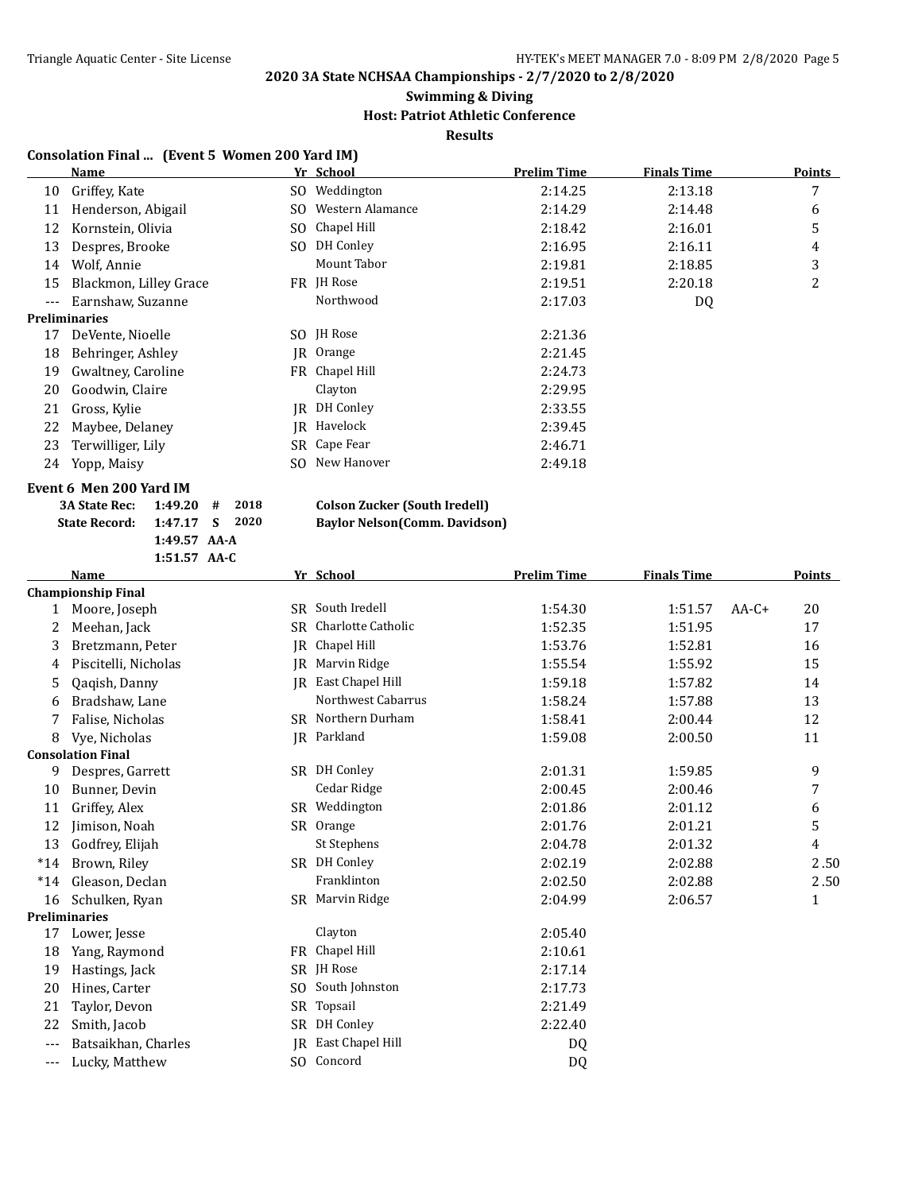#### **Swimming & Diving**

**Host: Patriot Athletic Conference**

**Results**

#### **Consolation Final ... (Event 5 Women 200 Yard IM)**

|       | Name                   |     | Yr School        | Prelim Time | <b>Finals Time</b> | Points |
|-------|------------------------|-----|------------------|-------------|--------------------|--------|
| 10    | Griffey, Kate          | SO. | Weddington       | 2:14.25     | 2:13.18            | 7      |
| 11    | Henderson, Abigail     | SO. | Western Alamance | 2:14.29     | 2:14.48            | 6      |
| 12    | Kornstein, Olivia      |     | SO Chapel Hill   | 2:18.42     | 2:16.01            | 5      |
| 13    | Despres, Brooke        | SO. | DH Conley        | 2:16.95     | 2:16.11            | 4      |
| 14    | Wolf, Annie            |     | Mount Tabor      | 2:19.81     | 2:18.85            | 3      |
| 15    | Blackmon, Lilley Grace |     | FR JH Rose       | 2:19.51     | 2:20.18            | 2      |
| $---$ | Earnshaw, Suzanne      |     | Northwood        | 2:17.03     | DQ                 |        |
|       | <b>Preliminaries</b>   |     |                  |             |                    |        |
| 17    | DeVente, Nioelle       |     | SO JH Rose       | 2:21.36     |                    |        |
| 18    | Behringer, Ashley      |     | IR Orange        | 2:21.45     |                    |        |
| 19    | Gwaltney, Caroline     |     | FR Chapel Hill   | 2:24.73     |                    |        |
| 20    | Goodwin, Claire        |     | Clayton          | 2:29.95     |                    |        |
| 21    | Gross, Kylie           | IR  | DH Conley        | 2:33.55     |                    |        |
| 22    | Maybee, Delaney        | IR  | Havelock         | 2:39.45     |                    |        |
| 23    | Terwilliger, Lily      |     | SR Cape Fear     | 2:46.71     |                    |        |
| 24    | Yopp, Maisy            | SO. | New Hanover      | 2:49.18     |                    |        |
|       |                        |     |                  |             |                    |        |

# **Event 6 Men 200 Yard IM**

| 3A State Rec: 1:49.20 # 2018 |                |  |
|------------------------------|----------------|--|
| State Record: 1:47.17 S 2020 |                |  |
|                              | $1:49.57$ AA-A |  |
|                              | $1:51.57$ AA-C |  |

#### Colson Zucker (South Iredell) **Baylor Nelson(Comm. Davidson)**

|       | <b>Name</b>               |           | Yr School          | <b>Prelim Time</b> | <b>Finals Time</b> |         | <b>Points</b> |
|-------|---------------------------|-----------|--------------------|--------------------|--------------------|---------|---------------|
|       | <b>Championship Final</b> |           |                    |                    |                    |         |               |
| 1     | Moore, Joseph             |           | SR South Iredell   | 1:54.30            | 1:51.57            | $AA-C+$ | 20            |
| 2     | Meehan, Jack              | <b>SR</b> | Charlotte Catholic | 1:52.35            | 1:51.95            |         | 17            |
| 3     | Bretzmann, Peter          | IR.       | Chapel Hill        | 1:53.76            | 1:52.81            |         | 16            |
| 4     | Piscitelli, Nicholas      | <b>IR</b> | Marvin Ridge       | 1:55.54            | 1:55.92            |         | 15            |
| 5     | Qaqish, Danny             | <b>IR</b> | East Chapel Hill   | 1:59.18            | 1:57.82            |         | 14            |
| 6     | Bradshaw, Lane            |           | Northwest Cabarrus | 1:58.24            | 1:57.88            |         | 13            |
|       | Falise, Nicholas          |           | SR Northern Durham | 1:58.41            | 2:00.44            |         | 12            |
| 8     | Vye, Nicholas             | IR        | Parkland           | 1:59.08            | 2:00.50            |         | 11            |
|       | <b>Consolation Final</b>  |           |                    |                    |                    |         |               |
| 9     | Despres, Garrett          |           | SR DH Conley       | 2:01.31            | 1:59.85            |         | 9             |
| 10    | Bunner, Devin             |           | Cedar Ridge        | 2:00.45            | 2:00.46            |         | 7             |
| 11    | Griffey, Alex             |           | SR Weddington      | 2:01.86            | 2:01.12            |         | 6             |
| 12    | Jimison, Noah             |           | SR Orange          | 2:01.76            | 2:01.21            |         | 5             |
| 13    | Godfrey, Elijah           |           | St Stephens        | 2:04.78            | 2:01.32            |         | 4             |
| $*14$ | Brown, Riley              |           | SR DH Conley       | 2:02.19            | 2:02.88            |         | 2.50          |
| $*14$ | Gleason, Declan           |           | Franklinton        | 2:02.50            | 2:02.88            |         | 2.50          |
| 16    | Schulken, Ryan            |           | SR Marvin Ridge    | 2:04.99            | 2:06.57            |         | $\mathbf{1}$  |
|       | <b>Preliminaries</b>      |           |                    |                    |                    |         |               |
| 17    | Lower, Jesse              |           | Clayton            | 2:05.40            |                    |         |               |
| 18    | Yang, Raymond             | FR        | Chapel Hill        | 2:10.61            |                    |         |               |
| 19    | Hastings, Jack            |           | SR JH Rose         | 2:17.14            |                    |         |               |
| 20    | Hines, Carter             | SO.       | South Johnston     | 2:17.73            |                    |         |               |
| 21    | Taylor, Devon             | <b>SR</b> | Topsail            | 2:21.49            |                    |         |               |
| 22    | Smith, Jacob              | SR.       | DH Conley          | 2:22.40            |                    |         |               |
| ---   | Batsaikhan, Charles       | <b>IR</b> | East Chapel Hill   | DQ.                |                    |         |               |
| ---   | Lucky, Matthew            | SO.       | Concord            | DQ                 |                    |         |               |
|       |                           |           |                    |                    |                    |         |               |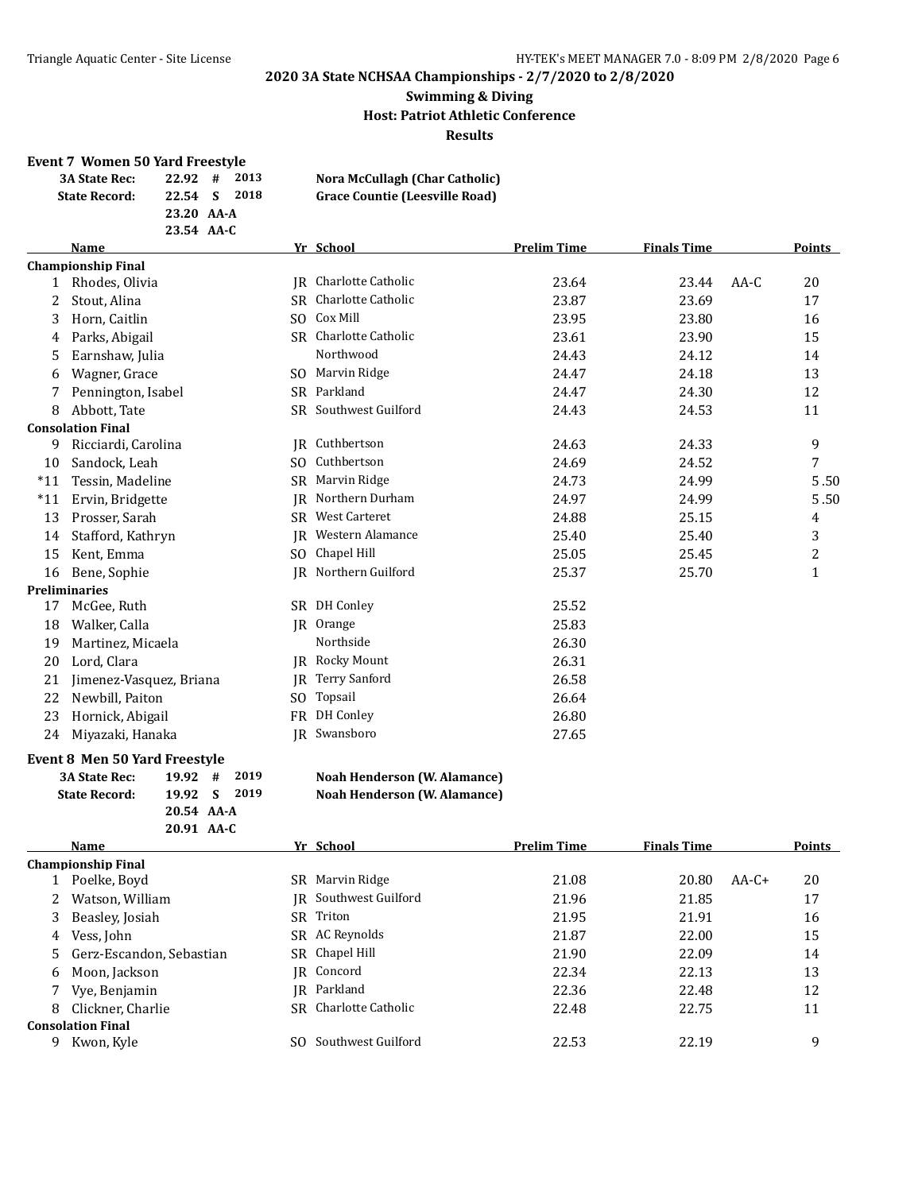## **Swimming & Diving Host: Patriot Athletic Conference Results**

#### **Event 7 Women 50 Yard Freestyle**

| <u>210.000 / 110.0000 / 10.000 / 10.000 / 10.000 / 10.000 / 10.000 / 10.000 / 10.000 / 10.000 / 10.000 / 10.000 /</u> |                 |      |                                       |
|-----------------------------------------------------------------------------------------------------------------------|-----------------|------|---------------------------------------|
| <b>3A State Rec:</b>                                                                                                  | $22.92 \quad #$ | 2013 | Nora McCullagh (Char Catholic)        |
| <b>State Record:</b>                                                                                                  | 22.54 S         | 2018 | <b>Grace Countie (Leesville Road)</b> |
|                                                                                                                       | 23.20 AA-A      |      |                                       |
|                                                                                                                       | 23.54 AA-C      |      |                                       |

|       | <b>Name</b>               |           | Yr School             | <b>Prelim Time</b> | <b>Finals Time</b> |        | Points       |
|-------|---------------------------|-----------|-----------------------|--------------------|--------------------|--------|--------------|
|       | <b>Championship Final</b> |           |                       |                    |                    |        |              |
|       | Rhodes, Olivia            | IR        | Charlotte Catholic    | 23.64              | 23.44              | $AA-C$ | 20           |
| 2     | Stout, Alina              |           | SR Charlotte Catholic | 23.87              | 23.69              |        | 17           |
| 3     | Horn, Caitlin             | SO.       | Cox Mill              | 23.95              | 23.80              |        | 16           |
| 4     | Parks, Abigail            |           | SR Charlotte Catholic | 23.61              | 23.90              |        | 15           |
| 5     | Earnshaw, Julia           |           | Northwood             | 24.43              | 24.12              |        | 14           |
| 6     | Wagner, Grace             |           | SO Marvin Ridge       | 24.47              | 24.18              |        | 13           |
| 7     | Pennington, Isabel        | SR.       | Parkland              | 24.47              | 24.30              |        | 12           |
| 8     | Abbott, Tate              |           | SR Southwest Guilford | 24.43              | 24.53              |        | 11           |
|       | <b>Consolation Final</b>  |           |                       |                    |                    |        |              |
| 9     | Ricciardi, Carolina       | IR        | Cuthbertson           | 24.63              | 24.33              |        | 9            |
| 10    | Sandock, Leah             | SO.       | Cuthbertson           | 24.69              | 24.52              |        | 7            |
| $*11$ | Tessin, Madeline          | SR.       | Marvin Ridge          | 24.73              | 24.99              |        | 5.50         |
| $*11$ | Ervin, Bridgette          | IR        | Northern Durham       | 24.97              | 24.99              |        | 5.50         |
| 13    | Prosser, Sarah            | SR.       | West Carteret         | 24.88              | 25.15              |        | 4            |
| 14    | Stafford, Kathryn         | IR        | Western Alamance      | 25.40              | 25.40              |        | 3            |
| 15    | Kent, Emma                |           | SO Chapel Hill        | 25.05              | 25.45              |        | 2            |
| 16    | Bene, Sophie              | IR        | Northern Guilford     | 25.37              | 25.70              |        | $\mathbf{1}$ |
|       | Preliminaries             |           |                       |                    |                    |        |              |
| 17    | McGee, Ruth               | SR.       | DH Conley             | 25.52              |                    |        |              |
| 18    | Walker, Calla             |           | IR Orange             | 25.83              |                    |        |              |
| 19    | Martinez, Micaela         |           | Northside             | 26.30              |                    |        |              |
| 20    | Lord, Clara               | IR        | Rocky Mount           | 26.31              |                    |        |              |
| 21    | Jimenez-Vasquez, Briana   | IR        | <b>Terry Sanford</b>  | 26.58              |                    |        |              |
| 22    | Newbill, Paiton           | SO.       | Topsail               | 26.64              |                    |        |              |
| 23    | Hornick, Abigail          | <b>FR</b> | DH Conley             | 26.80              |                    |        |              |
| 24    | Miyazaki, Hanaka          | IR        | Swansboro             | 27.65              |                    |        |              |

#### **Event 8 Men 50 Yard Freestyle**

| <b>3A State Rec:</b> | $19.92 \quad # \quad 2019$ |
|----------------------|----------------------------|
| <b>State Record:</b> | 19.92 S 2019               |
|                      | 20.54 AA-A                 |
|                      | $20.91$ AA-C               |

# **3A State Rec: 19.92 # 2019 Noah Henderson (W. Alamance)**

**State Record: 19.92 S 2019 Noah Henderson (W. Alamance)**

|   | <b>Name</b>                |     | Yr School             | <b>Prelim Time</b> | <b>Finals Time</b> |         | <b>Points</b> |
|---|----------------------------|-----|-----------------------|--------------------|--------------------|---------|---------------|
|   | <b>Championship Final</b>  |     |                       |                    |                    |         |               |
|   | Poelke, Boyd               |     | SR Marvin Ridge       | 21.08              | 20.80              | $AA-C+$ | 20            |
| 2 | Watson, William            |     | JR Southwest Guilford | 21.96              | 21.85              |         | 17            |
| 3 | Beasley, Josiah            | SR. | Triton                | 21.95              | 21.91              |         | 16            |
| 4 | Vess, John                 |     | SR AC Reynolds        | 21.87              | 22.00              |         | 15            |
|   | 5 Gerz-Escandon, Sebastian |     | SR Chapel Hill        | 21.90              | 22.09              |         | 14            |
| 6 | Moon, Jackson              |     | IR Concord            | 22.34              | 22.13              |         | 13            |
|   | Vye, Benjamin              |     | JR Parkland           | 22.36              | 22.48              |         | 12            |
| 8 | Clickner, Charlie          |     | SR Charlotte Catholic | 22.48              | 22.75              |         | 11            |
|   | <b>Consolation Final</b>   |     |                       |                    |                    |         |               |
| 9 | Kwon, Kyle                 | SO. | Southwest Guilford    | 22.53              | 22.19              |         | 9             |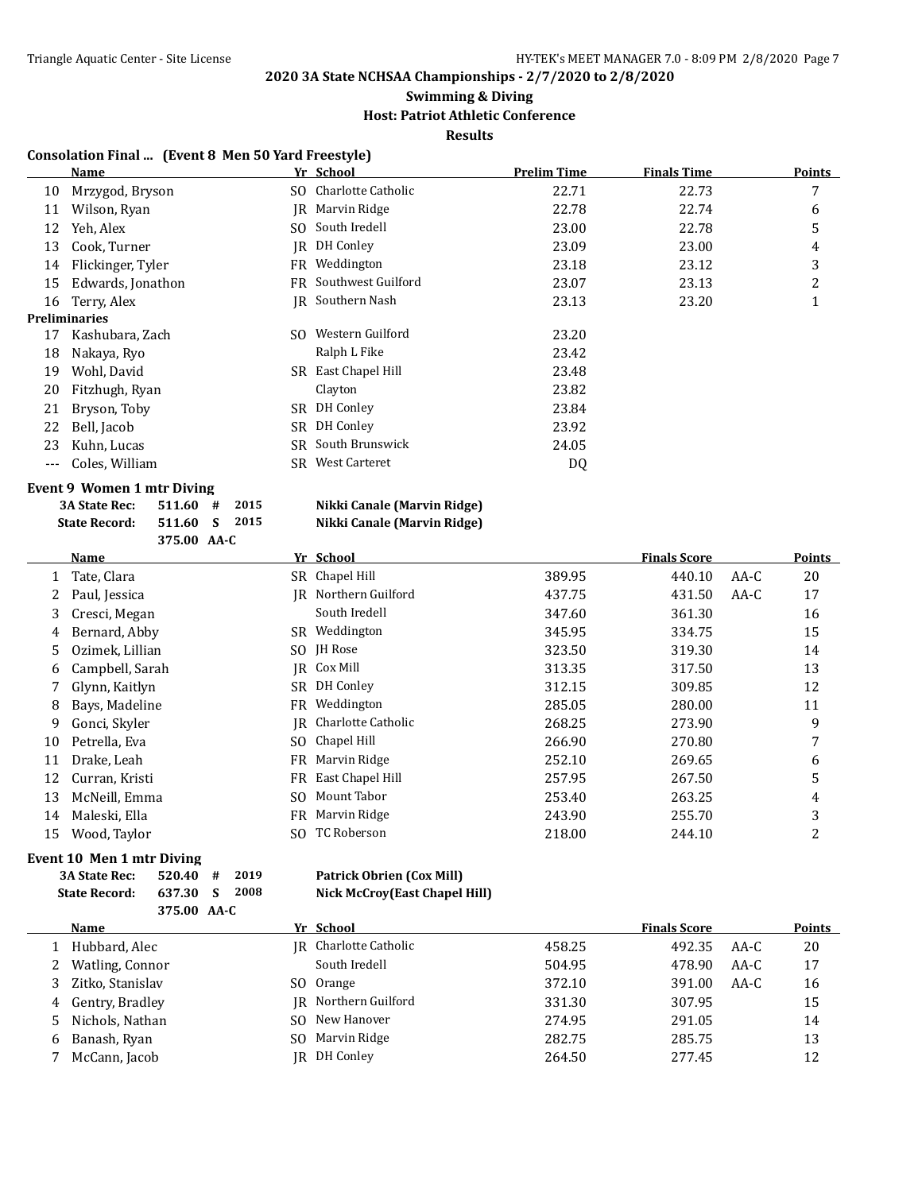#### **Swimming & Diving**

**Host: Patriot Athletic Conference**

**Results**

#### **Consolation Final ... (Event 8 Men 50 Yard Freestyle)**

| Name              |                      |                    | <b>Prelim Time</b>                                                                                                                                                   | <b>Finals Time</b> | <b>Points</b> |
|-------------------|----------------------|--------------------|----------------------------------------------------------------------------------------------------------------------------------------------------------------------|--------------------|---------------|
| Mrzygod, Bryson   |                      |                    | 22.71                                                                                                                                                                | 22.73              | 7             |
| Wilson, Ryan      |                      | Marvin Ridge       | 22.78                                                                                                                                                                | 22.74              | 6             |
| Yeh, Alex         |                      | South Iredell      | 23.00                                                                                                                                                                | 22.78              | 5             |
| Cook, Turner      |                      | DH Conley          | 23.09                                                                                                                                                                | 23.00              | 4             |
| Flickinger, Tyler |                      | Weddington         | 23.18                                                                                                                                                                | 23.12              | 3             |
| Edwards, Jonathon |                      | Southwest Guilford | 23.07                                                                                                                                                                | 23.13              | 2             |
| Terry, Alex       |                      |                    | 23.13                                                                                                                                                                | 23.20              | ┸             |
|                   |                      |                    |                                                                                                                                                                      |                    |               |
| Kashubara, Zach   | SO.                  | Western Guilford   | 23.20                                                                                                                                                                |                    |               |
| Nakaya, Ryo       |                      | Ralph L Fike       | 23.42                                                                                                                                                                |                    |               |
| Wohl, David       |                      |                    | 23.48                                                                                                                                                                |                    |               |
| Fitzhugh, Ryan    |                      | Clayton            | 23.82                                                                                                                                                                |                    |               |
| Bryson, Toby      |                      | DH Conley          | 23.84                                                                                                                                                                |                    |               |
| Bell, Jacob       |                      |                    | 23.92                                                                                                                                                                |                    |               |
| Kuhn, Lucas       |                      |                    | 24.05                                                                                                                                                                |                    |               |
| Coles, William    |                      | West Carteret      | DQ                                                                                                                                                                   |                    |               |
|                   | <b>Preliminaries</b> |                    | Yr School<br>SO Charlotte Catholic<br>IR<br>SO.<br>IR<br>FR -<br>FR.<br>JR Southern Nash<br>SR East Chapel Hill<br>SR -<br>SR DH Conley<br>SR South Brunswick<br>SR. |                    |               |

# **Event 9 Women 1 mtr Diving**

| <b>3A State Rec:</b> | 511.60 | #                                                                                                                                                                                                              | 2015                      |             | Nikki Canale (Marvin Ridge) |                                                                                   |                     |      |        |
|----------------------|--------|----------------------------------------------------------------------------------------------------------------------------------------------------------------------------------------------------------------|---------------------------|-------------|-----------------------------|-----------------------------------------------------------------------------------|---------------------|------|--------|
| <b>State Record:</b> | 511.60 | S                                                                                                                                                                                                              | 2015                      |             | Nikki Canale (Marvin Ridge) |                                                                                   |                     |      |        |
|                      |        |                                                                                                                                                                                                                |                           |             |                             |                                                                                   |                     |      |        |
| Name                 |        |                                                                                                                                                                                                                |                           |             |                             |                                                                                   | <b>Finals Score</b> |      | Points |
| Tate, Clara          |        |                                                                                                                                                                                                                |                           |             |                             | 389.95                                                                            | 440.10              | AA-C | 20     |
| Paul, Jessica        |        |                                                                                                                                                                                                                |                           | IR          | Northern Guilford           | 437.75                                                                            | 431.50              | AA-C | 17     |
|                      |        |                                                                                                                                                                                                                |                           |             | South Iredell               | 347.60                                                                            | 361.30              |      | 16     |
|                      |        |                                                                                                                                                                                                                |                           |             | Weddington                  | 345.95                                                                            | 334.75              |      | 15     |
|                      |        |                                                                                                                                                                                                                |                           |             |                             | 323.50                                                                            | 319.30              |      | 14     |
|                      |        |                                                                                                                                                                                                                |                           |             |                             | 313.35                                                                            | 317.50              |      | 13     |
|                      |        |                                                                                                                                                                                                                |                           |             | DH Conley                   | 312.15                                                                            | 309.85              |      | 12     |
|                      |        |                                                                                                                                                                                                                |                           |             | Weddington                  | 285.05                                                                            | 280.00              |      | 11     |
|                      |        |                                                                                                                                                                                                                |                           | IR          | Charlotte Catholic          | 268.25                                                                            | 273.90              |      | 9      |
|                      |        |                                                                                                                                                                                                                |                           |             | Chapel Hill                 | 266.90                                                                            | 270.80              |      |        |
| Drake, Leah          |        |                                                                                                                                                                                                                |                           | FR          | Marvin Ridge                | 252.10                                                                            | 269.65              |      | 6      |
|                      |        |                                                                                                                                                                                                                |                           | FR          | East Chapel Hill            | 257.95                                                                            | 267.50              |      | 5      |
|                      |        |                                                                                                                                                                                                                |                           | SO.         | Mount Tabor                 | 253.40                                                                            | 263.25              |      | 4      |
|                      |        |                                                                                                                                                                                                                |                           | FR          | Marvin Ridge                | 243.90                                                                            | 255.70              |      | 3      |
|                      |        |                                                                                                                                                                                                                |                           | SO.         | TC Roberson                 | 218.00                                                                            | 244.10              |      | 2      |
|                      |        |                                                                                                                                                                                                                |                           |             |                             |                                                                                   |                     |      |        |
|                      |        | Cresci, Megan<br>Bernard, Abby<br>Ozimek, Lillian<br>Campbell, Sarah<br>Glynn, Kaitlyn<br>Bays, Madeline<br>Gonci, Skyler<br>Petrella, Eva<br>Curran, Kristi<br>McNeill, Emma<br>Maleski, Ella<br>Wood, Taylor | Event 10 Men 1 mtr Diving | 375.00 AA-C |                             | Yr School<br>SR Chapel Hill<br>SR<br>SO JH Rose<br>JR Cox Mill<br>SR<br>FR<br>SO. |                     |      |        |

| <b>3A State Rec:</b> | 520.40 | #   | 2019 |
|----------------------|--------|-----|------|
| <b>State Record:</b> | 637.30 | - 5 | 2008 |

| 637.30      | S. | 200 |
|-------------|----|-----|
| 375.00 AA-C |    |     |

 Patrick Obrien (Cox Mill)  $Nick McGroy(East Chapel Hill)$ 

|    | Name             | Yr School             |        | <b>Finals Score</b> |        | <b>Points</b> |
|----|------------------|-----------------------|--------|---------------------|--------|---------------|
|    | Hubbard, Alec    | IR Charlotte Catholic | 458.25 | 492.35              | AA-C   | 20            |
|    | Watling, Connor  | South Iredell         | 504.95 | 478.90              | $AA-C$ | 17            |
|    | Zitko, Stanislav | SO Orange             | 372.10 | 391.00              | $AA-C$ | 16            |
| 4  | Gentry, Bradley  | IR Northern Guilford  | 331.30 | 307.95              |        | 15            |
| 5. | Nichols, Nathan  | SO New Hanover        | 274.95 | 291.05              |        | 14            |
| 6  | Banash, Ryan     | SO Marvin Ridge       | 282.75 | 285.75              |        | 13            |
|    | McCann, Jacob    | IR DH Conley          | 264.50 | 277.45              |        | 12            |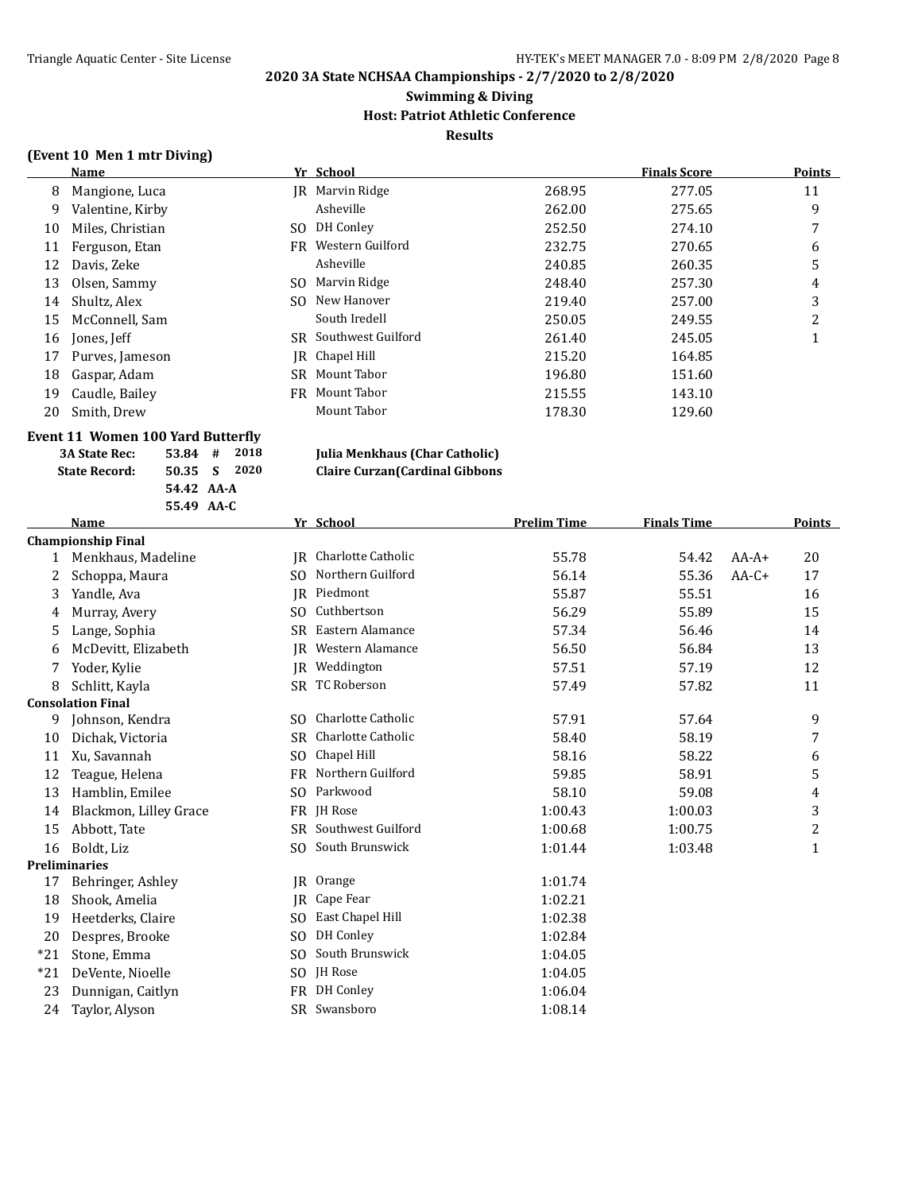# **Swimming & Diving Host: Patriot Athletic Conference Results**

#### **(Event 10 Men 1 mtr Diving)**

|    | Name             |     | Yr School             |        | <b>Finals Score</b> | <b>Points</b> |
|----|------------------|-----|-----------------------|--------|---------------------|---------------|
| 8  | Mangione, Luca   |     | JR Marvin Ridge       | 268.95 | 277.05              | 11            |
| 9  | Valentine, Kirby |     | Asheville             | 262.00 | 275.65              | 9             |
| 10 | Miles, Christian | SO. | DH Conley             | 252.50 | 274.10              | 7             |
| 11 | Ferguson, Etan   | FR. | Western Guilford      | 232.75 | 270.65              | 6             |
| 12 | Davis, Zeke      |     | Asheville             | 240.85 | 260.35              | 5             |
| 13 | Olsen, Sammy     |     | SO Marvin Ridge       | 248.40 | 257.30              | 4             |
| 14 | Shultz, Alex     | SO. | New Hanover           | 219.40 | 257.00              | 3             |
| 15 | McConnell, Sam   |     | South Iredell         | 250.05 | 249.55              | 2             |
| 16 | Jones, Jeff      |     | SR Southwest Guilford | 261.40 | 245.05              |               |
| 17 | Purves, Jameson  |     | IR Chapel Hill        | 215.20 | 164.85              |               |
| 18 | Gaspar, Adam     |     | SR Mount Tabor        | 196.80 | 151.60              |               |
| 19 | Caudle, Bailey   |     | FR Mount Tabor        | 215.55 | 143.10              |               |
| 20 | Smith, Drew      |     | Mount Tabor           | 178.30 | 129.60              |               |

#### **Event 11 Women 100 Yard Butterfly**

| <b>3A State Rec:</b> | $53.84$ # 2018 |
|----------------------|----------------|
| <b>State Record:</b> | 50.35 S 2020   |
|                      | 54.42 AA-A     |
|                      | 55.49 AA-C     |

### **3A State Rec: 53.84 # 2018 Julia Menkhaus (Char Catholic) State Record: 50.35 S 2020 Claire Curzan(Cardinal Gibbons**

|       | Name                      |                | Yr School                 | <b>Prelim Time</b> | <b>Finals Time</b> |         | <b>Points</b>  |
|-------|---------------------------|----------------|---------------------------|--------------------|--------------------|---------|----------------|
|       | <b>Championship Final</b> |                |                           |                    |                    |         |                |
| 1     | Menkhaus, Madeline        | IR             | <b>Charlotte Catholic</b> | 55.78              | 54.42              | $AA-A+$ | 20             |
| 2     | Schoppa, Maura            | SO.            | Northern Guilford         | 56.14              | 55.36              | $AA-C+$ | 17             |
| 3     | Yandle, Ava               | IR             | Piedmont                  | 55.87              | 55.51              |         | 16             |
| 4     | Murray, Avery             | S <sub>O</sub> | Cuthbertson               | 56.29              | 55.89              |         | 15             |
| 5     | Lange, Sophia             | SR             | Eastern Alamance          | 57.34              | 56.46              |         | 14             |
| 6     | McDevitt, Elizabeth       | IR             | Western Alamance          | 56.50              | 56.84              |         | 13             |
| 7     | Yoder, Kylie              |                | IR Weddington             | 57.51              | 57.19              |         | 12             |
| 8     | Schlitt, Kayla            | SR             | TC Roberson               | 57.49              | 57.82              |         | 11             |
|       | <b>Consolation Final</b>  |                |                           |                    |                    |         |                |
| 9     | Johnson, Kendra           | S <sub>O</sub> | Charlotte Catholic        | 57.91              | 57.64              |         | 9              |
| 10    | Dichak, Victoria          | SR             | Charlotte Catholic        | 58.40              | 58.19              |         | 7              |
| 11    | Xu, Savannah              | SO.            | Chapel Hill               | 58.16              | 58.22              |         | 6              |
| 12    | Teague, Helena            | FR             | Northern Guilford         | 59.85              | 58.91              |         | 5              |
| 13    | Hamblin, Emilee           | SO.            | Parkwood                  | 58.10              | 59.08              |         | 4              |
| 14    | Blackmon, Lilley Grace    | FR             | <b>IH</b> Rose            | 1:00.43            | 1:00.03            |         | 3              |
| 15    | Abbott, Tate              | SR.            | Southwest Guilford        | 1:00.68            | 1:00.75            |         | $\overline{c}$ |
| 16    | Boldt, Liz                | SO.            | South Brunswick           | 1:01.44            | 1:03.48            |         | $\mathbf{1}$   |
|       | <b>Preliminaries</b>      |                |                           |                    |                    |         |                |
| 17    | Behringer, Ashley         | IR             | Orange                    | 1:01.74            |                    |         |                |
| 18    | Shook, Amelia             | IR             | Cape Fear                 | 1:02.21            |                    |         |                |
| 19    | Heetderks, Claire         | SO.            | East Chapel Hill          | 1:02.38            |                    |         |                |
| 20    | Despres, Brooke           | <sub>SO</sub>  | DH Conley                 | 1:02.84            |                    |         |                |
| $*21$ | Stone, Emma               | SO.            | South Brunswick           | 1:04.05            |                    |         |                |
| $*21$ | DeVente, Nioelle          | SO.            | JH Rose                   | 1:04.05            |                    |         |                |
| 23    | Dunnigan, Caitlyn         | FR             | DH Conley                 | 1:06.04            |                    |         |                |
| 24    | Taylor, Alyson            | SR             | Swansboro                 | 1:08.14            |                    |         |                |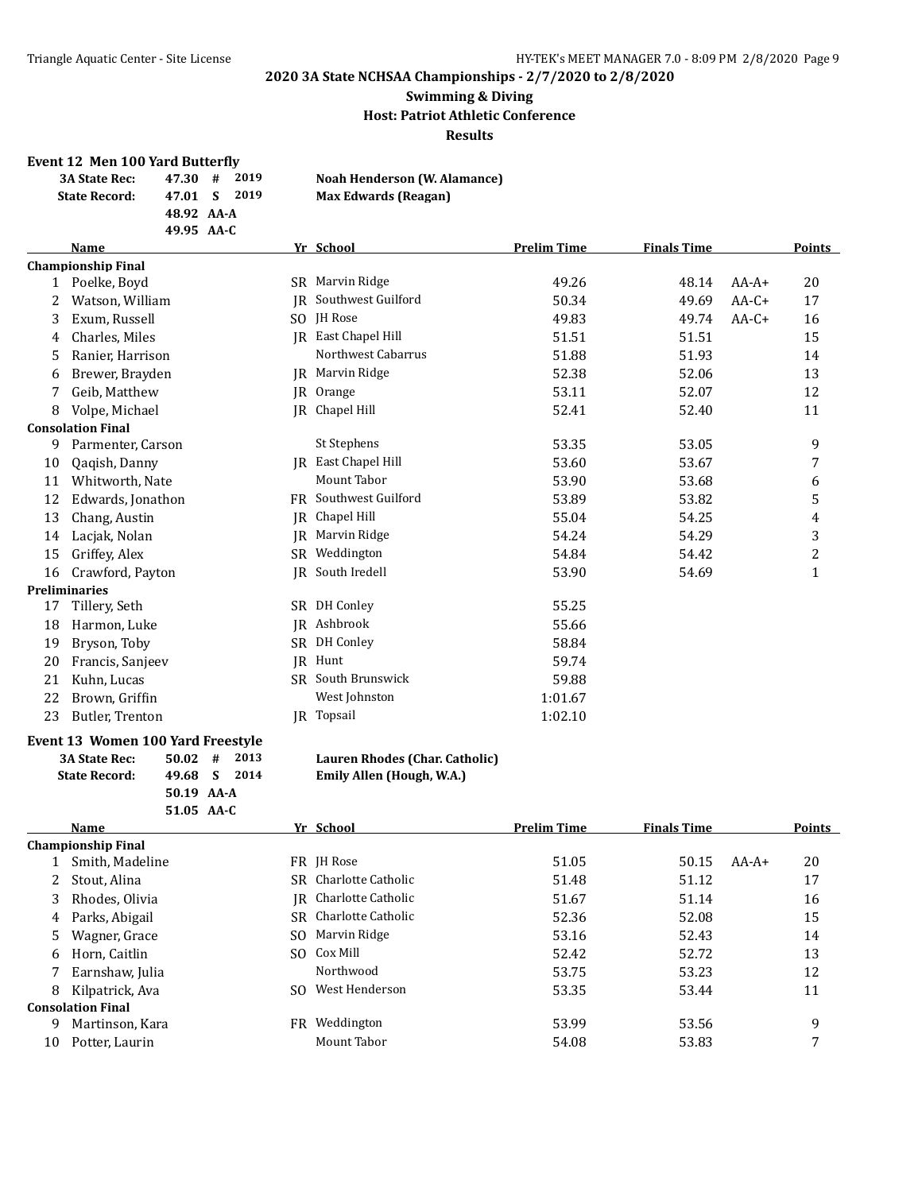# **Swimming & Diving Host: Patriot Athletic Conference Results**

#### **Event 12 Men 100 Yard Butterfly**

| <b>3A State Rec:</b> | 47.30 # 2019 | Noah Henderson (W. Alamance) |
|----------------------|--------------|------------------------------|
| <b>State Record:</b> | 47.01 S 2019 | <b>Max Edwards (Reagan)</b>  |
|                      | 48.92 AA-A   |                              |
|                      | 49.95 AA-C   |                              |

# **Name Yr School Prelim Time Finals Time Points**

|    | <b>Championship Final</b> |     |                       |         |       |         |    |
|----|---------------------------|-----|-----------------------|---------|-------|---------|----|
| 1  | Poelke, Boyd              |     | SR Marvin Ridge       | 49.26   | 48.14 | $AA-A+$ | 20 |
| 2  | Watson, William           | IR  | Southwest Guilford    | 50.34   | 49.69 | $AA-C+$ | 17 |
| 3  | Exum, Russell             |     | SO JH Rose            | 49.83   | 49.74 | $AA-C+$ | 16 |
| 4  | Charles, Miles            | IR  | East Chapel Hill      | 51.51   | 51.51 |         | 15 |
| 5  | Ranier, Harrison          |     | Northwest Cabarrus    | 51.88   | 51.93 |         | 14 |
| 6  | Brewer, Brayden           | IR  | Marvin Ridge          | 52.38   | 52.06 |         | 13 |
| 7  | Geib, Matthew             | IR  | Orange                | 53.11   | 52.07 |         | 12 |
| 8  | Volpe, Michael            | IR  | Chapel Hill           | 52.41   | 52.40 |         | 11 |
|    | <b>Consolation Final</b>  |     |                       |         |       |         |    |
| 9  | Parmenter, Carson         |     | St Stephens           | 53.35   | 53.05 |         | 9  |
| 10 | Qaqish, Danny             |     | JR East Chapel Hill   | 53.60   | 53.67 |         | 7  |
| 11 | Whitworth, Nate           |     | Mount Tabor           | 53.90   | 53.68 |         | 6  |
| 12 | Edwards, Jonathon         |     | FR Southwest Guilford | 53.89   | 53.82 |         | 5  |
| 13 | Chang, Austin             | IR  | Chapel Hill           | 55.04   | 54.25 |         | 4  |
| 14 | Lacjak, Nolan             | IR  | Marvin Ridge          | 54.24   | 54.29 |         | 3  |
| 15 | Griffey, Alex             | SR. | Weddington            | 54.84   | 54.42 |         | 2  |
| 16 | Crawford, Payton          | IR  | South Iredell         | 53.90   | 54.69 |         | 1  |
|    | <b>Preliminaries</b>      |     |                       |         |       |         |    |
| 17 | Tillery, Seth             | SR. | DH Conley             | 55.25   |       |         |    |
| 18 | Harmon, Luke              |     | JR Ashbrook           | 55.66   |       |         |    |
| 19 | Bryson, Toby              | SR. | DH Conley             | 58.84   |       |         |    |
| 20 | Francis, Sanjeev          | IR  | Hunt                  | 59.74   |       |         |    |
| 21 | Kuhn, Lucas               |     | SR South Brunswick    | 59.88   |       |         |    |
| 22 | Brown, Griffin            |     | West Johnston         | 1:01.67 |       |         |    |
| 23 | Butler, Trenton           |     | JR Topsail            | 1:02.10 |       |         |    |

# **Event 13 Women 100 Yard Freestyle**<br>34 State Rec: 50 02 # 2013

| за мате кес:         | $50.02 \div 7.2013$ |  |
|----------------------|---------------------|--|
| <b>State Record:</b> | 49.68 S 2014        |  |
|                      | $50.19$ AA-A        |  |
|                      | 51.05 AA-C          |  |

# **Lauren Rhodes (Char. Catholic)**

**State Record: 49.68 S 2014 Emily Allen (Hough, W.A.)**

|    | <b>Name</b>               |     | Yr School             | <b>Prelim Time</b> | <b>Finals Time</b> |         | <b>Points</b> |
|----|---------------------------|-----|-----------------------|--------------------|--------------------|---------|---------------|
|    | <b>Championship Final</b> |     |                       |                    |                    |         |               |
|    | Smith, Madeline           |     | FR IH Rose            | 51.05              | 50.15              | $AA-A+$ | 20            |
| 2  | Stout, Alina              |     | SR Charlotte Catholic | 51.48              | 51.12              |         | 17            |
| 3  | Rhodes, Olivia            |     | IR Charlotte Catholic | 51.67              | 51.14              |         | 16            |
|    | 4 Parks, Abigail          |     | SR Charlotte Catholic | 52.36              | 52.08              |         | 15            |
| 5  | Wagner, Grace             | SO. | Marvin Ridge          | 53.16              | 52.43              |         | 14            |
| 6  | Horn, Caitlin             |     | SO Cox Mill           | 52.42              | 52.72              |         | 13            |
|    | Earnshaw, Julia           |     | Northwood             | 53.75              | 53.23              |         | 12            |
| 8  | Kilpatrick, Ava           |     | SO West Henderson     | 53.35              | 53.44              |         | 11            |
|    | <b>Consolation Final</b>  |     |                       |                    |                    |         |               |
| 9. | Martinson, Kara           |     | FR Weddington         | 53.99              | 53.56              |         | 9             |
| 10 | Potter, Laurin            |     | Mount Tabor           | 54.08              | 53.83              |         | 7             |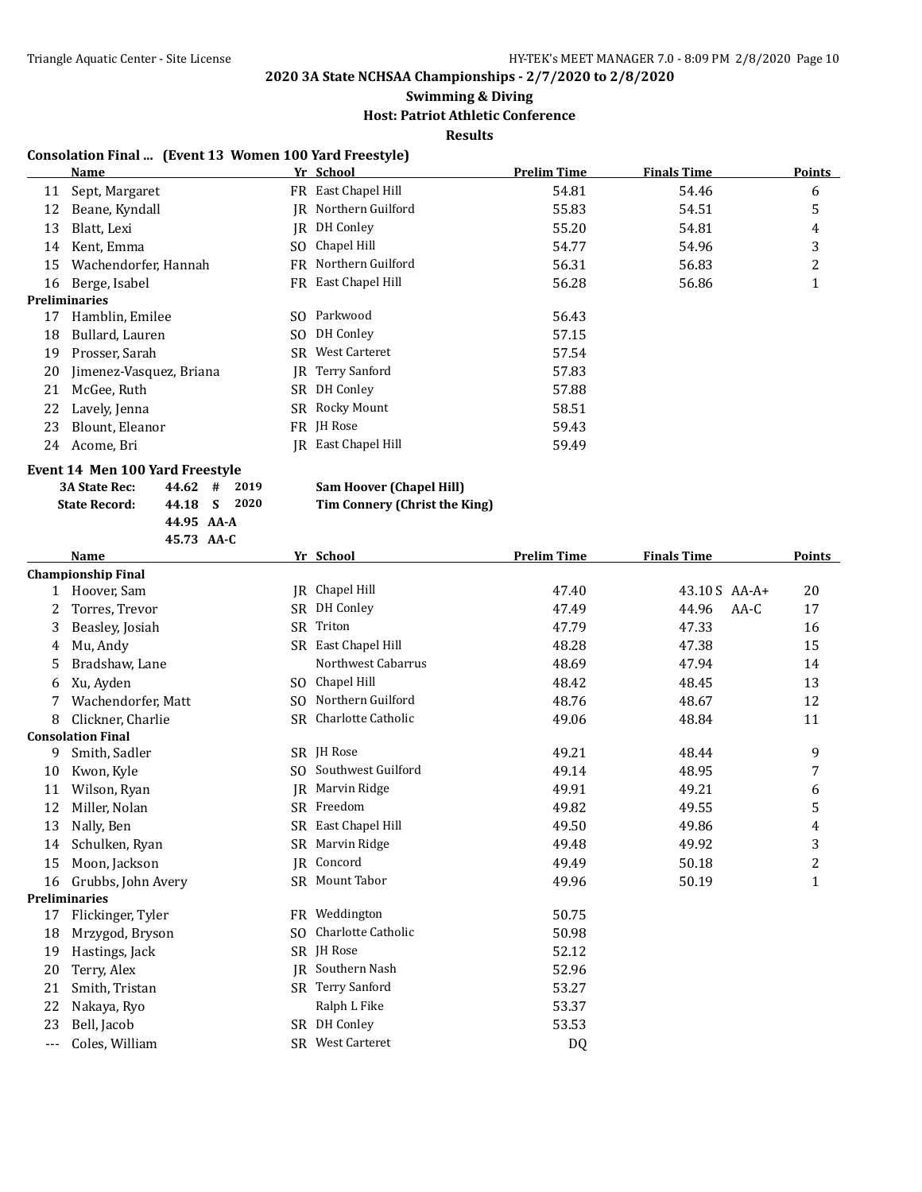#### **Swimming & Diving**

**Host: Patriot Athletic Conference**

**Results**

#### **Consolation Final ... (Event 13 Women 100 Yard Freestyle)**

|    | Name                    |      | Yr School               | <b>Prelim Time</b> | <b>Finals Time</b> | <b>Points</b> |
|----|-------------------------|------|-------------------------|--------------------|--------------------|---------------|
| 11 | Sept, Margaret          | FR   | East Chapel Hill        | 54.81              | 54.46              | 6             |
| 12 | Beane, Kyndall          |      | IR Northern Guilford    | 55.83              | 54.51              | 5             |
| 13 | Blatt, Lexi             | IR   | DH Conley               | 55.20              | 54.81              | 4             |
| 14 | Kent, Emma              | SO.  | Chapel Hill             | 54.77              | 54.96              | 3             |
| 15 | Wachendorfer, Hannah    |      | FR Northern Guilford    | 56.31              | 56.83              | 2             |
| 16 | Berge, Isabel           |      | FR East Chapel Hill     | 56.28              | 56.86              |               |
|    | <b>Preliminaries</b>    |      |                         |                    |                    |               |
| 17 | Hamblin, Emilee         | SO.  | Parkwood                | 56.43              |                    |               |
| 18 | Bullard, Lauren         | SO.  | DH Conley               | 57.15              |                    |               |
| 19 | Prosser, Sarah          | SR - | West Carteret           | 57.54              |                    |               |
| 20 | Jimenez-Vasquez, Briana |      | <b>IR</b> Terry Sanford | 57.83              |                    |               |
| 21 | McGee, Ruth             | SR.  | DH Conley               | 57.88              |                    |               |
| 22 | Lavely, Jenna           |      | SR Rocky Mount          | 58.51              |                    |               |
| 23 | Blount, Eleanor         |      | FR JH Rose              | 59.43              |                    |               |
| 24 | Acome, Bri              |      | IR East Chapel Hill     | 59.49              |                    |               |
|    |                         |      |                         |                    |                    |               |

#### **Event 14 Men 100 Yard Freestyle**

| <b>3A State Rec:</b> | $44.62 \quad # \quad 2019$ |  |
|----------------------|----------------------------|--|
| <b>State Record:</b> | 44.18 S 2020               |  |
|                      | 44.95 AA-A                 |  |
|                      | 45.73 AA-C                 |  |

#### **3A State Rec: 44.62 # 2019 Sam Hoover (Chapel Hill) State Record: 44.18 S 2020 Tim Connery (Christ the King)**

|       | Name                      |           | Yr School             | <b>Prelim Time</b> | <b>Finals Time</b> | <b>Points</b> |
|-------|---------------------------|-----------|-----------------------|--------------------|--------------------|---------------|
|       | <b>Championship Final</b> |           |                       |                    |                    |               |
|       | Hoover, Sam               | IR        | Chapel Hill           | 47.40              | 43.10S AA-A+       | 20            |
| 2     | Torres, Trevor            | SR.       | <b>DH</b> Conley      | 47.49              | 44.96<br>$AA-C$    | 17            |
| 3     | Beasley, Josiah           | SR.       | Triton                | 47.79              | 47.33              | 16            |
| 4     | Mu, Andy                  |           | SR East Chapel Hill   | 48.28              | 47.38              | 15            |
| 5     | Bradshaw, Lane            |           | Northwest Cabarrus    | 48.69              | 47.94              | 14            |
| 6     | Xu, Ayden                 | SO.       | Chapel Hill           | 48.42              | 48.45              | 13            |
| 7     | Wachendorfer, Matt        | SO.       | Northern Guilford     | 48.76              | 48.67              | 12            |
| 8     | Clickner, Charlie         |           | SR Charlotte Catholic | 49.06              | 48.84              | 11            |
|       | <b>Consolation Final</b>  |           |                       |                    |                    |               |
| 9     | Smith, Sadler             |           | SR JH Rose            | 49.21              | 48.44              | 9             |
| 10    | Kwon, Kyle                | SO.       | Southwest Guilford    | 49.14              | 48.95              | 7             |
| 11    | Wilson, Ryan              | IR        | Marvin Ridge          | 49.91              | 49.21              | 6             |
| 12    | Miller, Nolan             | <b>SR</b> | Freedom               | 49.82              | 49.55              | 5             |
| 13    | Nally, Ben                | SR        | East Chapel Hill      | 49.50              | 49.86              | 4             |
| 14    | Schulken, Ryan            | <b>SR</b> | Marvin Ridge          | 49.48              | 49.92              | 3             |
| 15    | Moon, Jackson             | IR        | Concord               | 49.49              | 50.18              | 2             |
| 16    | Grubbs, John Avery        |           | SR Mount Tabor        | 49.96              | 50.19              | $\mathbf{1}$  |
|       | <b>Preliminaries</b>      |           |                       |                    |                    |               |
| 17    | Flickinger, Tyler         | FR.       | Weddington            | 50.75              |                    |               |
| 18    | Mrzygod, Bryson           | SO.       | Charlotte Catholic    | 50.98              |                    |               |
| 19    | Hastings, Jack            |           | SR JH Rose            | 52.12              |                    |               |
| 20    | Terry, Alex               | IR        | Southern Nash         | 52.96              |                    |               |
| 21    | Smith, Tristan            |           | SR Terry Sanford      | 53.27              |                    |               |
| 22    | Nakaya, Ryo               |           | Ralph L Fike          | 53.37              |                    |               |
| 23    | Bell, Jacob               | SR        | <b>DH</b> Conley      | 53.53              |                    |               |
| $---$ | Coles, William            |           | SR West Carteret      | DQ                 |                    |               |
|       |                           |           |                       |                    |                    |               |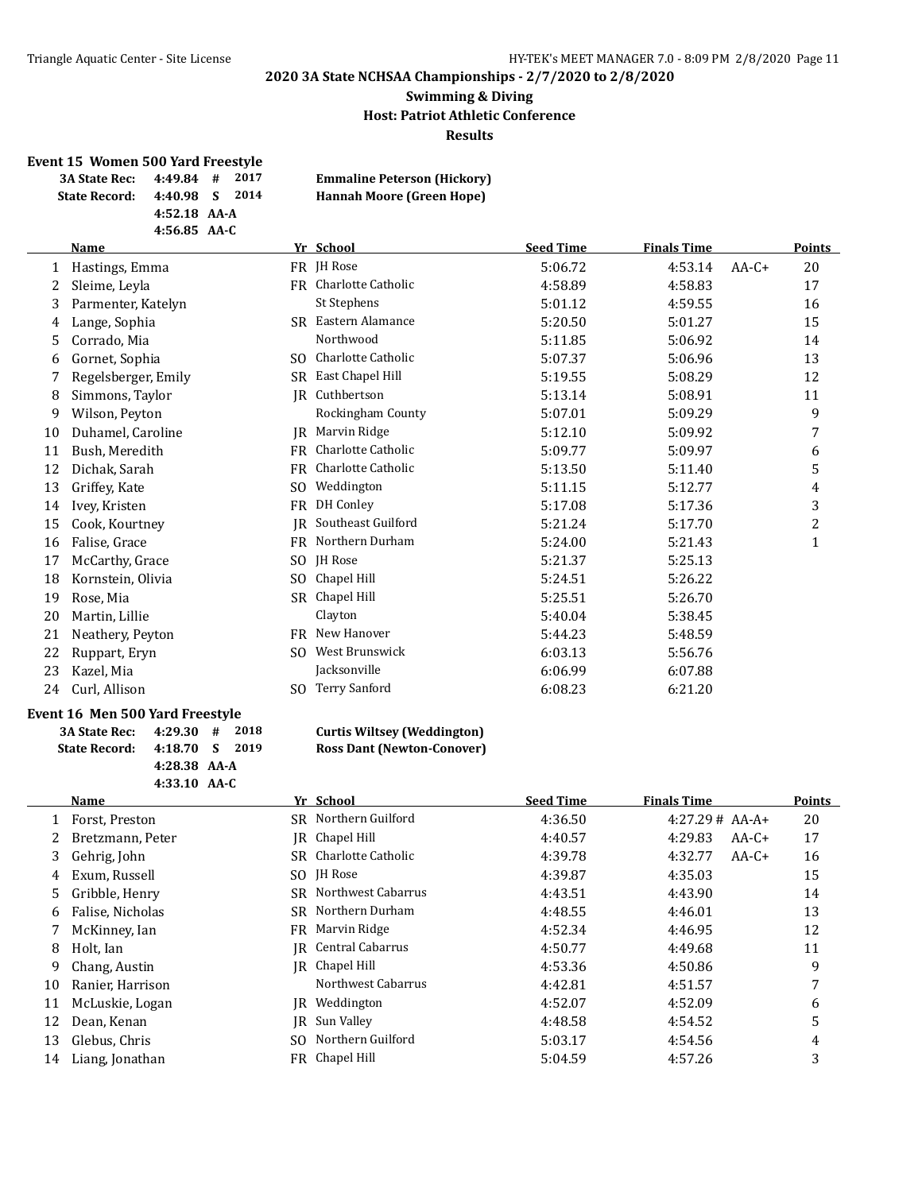# **Swimming & Diving Host: Patriot Athletic Conference Results**

#### **Event 15 Women 500 Yard Freestyle**

| 3A State Rec: 4:49.84 # |                | 2017 | <b>Emmaline Peterson (Hickory)</b> |
|-------------------------|----------------|------|------------------------------------|
| <b>State Record:</b>    | 4:40.98 S      | 2014 | Hannah Moore (Green Hope)          |
|                         | $4:52.18$ AA-A |      |                                    |
|                         | $4:56.85$ AA-C |      |                                    |

|    | <b>Name</b>         |    | Yr School             | <b>Seed Time</b> | <b>Finals Time</b> |         | Points |
|----|---------------------|----|-----------------------|------------------|--------------------|---------|--------|
|    | Hastings, Emma      |    | FR JH Rose            | 5:06.72          | 4:53.14            | $AA-C+$ | 20     |
| 2  | Sleime, Leyla       |    | FR Charlotte Catholic | 4:58.89          | 4:58.83            |         | 17     |
| 3  | Parmenter, Katelyn  |    | St Stephens           | 5:01.12          | 4:59.55            |         | 16     |
|    | Lange, Sophia       |    | SR Eastern Alamance   | 5:20.50          | 5:01.27            |         | 15     |
| 5. | Corrado, Mia        |    | Northwood             | 5:11.85          | 5:06.92            |         | 14     |
| 6  | Gornet, Sophia      |    | SO Charlotte Catholic | 5:07.37          | 5:06.96            |         | 13     |
|    | Regelsberger, Emily |    | SR East Chapel Hill   | 5:19.55          | 5:08.29            |         | 12     |
| 8  | Simmons, Taylor     |    | JR Cuthbertson        | 5:13.14          | 5:08.91            |         | 11     |
| 9  | Wilson, Peyton      |    | Rockingham County     | 5:07.01          | 5:09.29            |         | 9      |
| 10 | Duhamel, Caroline   | IR | Marvin Ridge          | 5:12.10          | 5:09.92            |         | 7      |
| 11 | Bush, Meredith      |    | FR Charlotte Catholic | 5:09.77          | 5:09.97            |         | 6      |
| 12 | Dichak, Sarah       |    | FR Charlotte Catholic | 5:13.50          | 5:11.40            |         | 5      |
| 13 | Griffey, Kate       |    | SO Weddington         | 5:11.15          | 5:12.77            |         | 4      |
| 14 | Ivey, Kristen       |    | FR DH Conley          | 5:17.08          | 5:17.36            |         | 3      |
| 15 | Cook, Kourtney      | IR | Southeast Guilford    | 5:21.24          | 5:17.70            |         | 2      |
| 16 | Falise, Grace       |    | FR Northern Durham    | 5:24.00          | 5:21.43            |         | 1      |
| 17 | McCarthy, Grace     |    | SO JH Rose            | 5:21.37          | 5:25.13            |         |        |
| 18 | Kornstein, Olivia   |    | SO Chapel Hill        | 5:24.51          | 5:26.22            |         |        |
| 19 | Rose, Mia           |    | SR Chapel Hill        | 5:25.51          | 5:26.70            |         |        |
| 20 | Martin, Lillie      |    | Clayton               | 5:40.04          | 5:38.45            |         |        |
| 21 | Neathery, Peyton    |    | FR New Hanover        | 5:44.23          | 5:48.59            |         |        |
| 22 | Ruppart, Eryn       |    | SO West Brunswick     | 6:03.13          | 5:56.76            |         |        |
| 23 | Kazel, Mia          |    | Jacksonville          | 6:06.99          | 6:07.88            |         |        |
| 24 | Curl, Allison       |    | SO Terry Sanford      | 6:08.23          | 6:21.20            |         |        |
|    |                     |    |                       |                  |                    |         |        |

#### **Event 16 Men 500 Yard Freestyle**

| 3A State Rec: 4:29.30 #      |                | 2018 |
|------------------------------|----------------|------|
| State Record: 4:18.70 S 2019 |                |      |
|                              | $4:28.38$ AA-A |      |
|                              | $4:33.10$ AA-C |      |

#### **3A State Rec: 4:29.30 # 2018 Curtis Wiltsey (Weddington) State Record: 4:18.70 S 2019 Ross Dant (Newton-Conover)**

|    | <b>Name</b>      |     | Yr School            | <b>Seed Time</b> | <b>Finals Time</b> | <b>Points</b> |
|----|------------------|-----|----------------------|------------------|--------------------|---------------|
|    | Forst, Preston   |     | SR Northern Guilford | 4:36.50          | $4:27.29# AA-A+$   | 20            |
|    | Bretzmann, Peter |     | JR Chapel Hill       | 4:40.57          | 4:29.83<br>$AA-C+$ | 17            |
| 3  | Gehrig, John     | SR  | Charlotte Catholic   | 4:39.78          | 4:32.77<br>$AA-C+$ | 16            |
| 4  | Exum, Russell    | SO. | <b>IH Rose</b>       | 4:39.87          | 4:35.03            | 15            |
| 5. | Gribble, Henry   | SR  | Northwest Cabarrus   | 4:43.51          | 4:43.90            | 14            |
| 6  | Falise, Nicholas | SR  | Northern Durham      | 4:48.55          | 4:46.01            | 13            |
|    | McKinney, Ian    | FR  | Marvin Ridge         | 4:52.34          | 4:46.95            | 12            |
| 8  | Holt, Ian        | IR  | Central Cabarrus     | 4:50.77          | 4:49.68            | 11            |
| 9  | Chang, Austin    |     | IR Chapel Hill       | 4:53.36          | 4:50.86            | 9             |
| 10 | Ranier, Harrison |     | Northwest Cabarrus   | 4:42.81          | 4:51.57            | 7             |
| 11 | McLuskie, Logan  | IR  | Weddington           | 4:52.07          | 4:52.09            | 6             |
| 12 | Dean, Kenan      | IR  | Sun Valley           | 4:48.58          | 4:54.52            | 5             |
| 13 | Glebus, Chris    | SO. | Northern Guilford    | 5:03.17          | 4:54.56            | 4             |
| 14 | Liang, Jonathan  |     | FR Chapel Hill       | 5:04.59          | 4:57.26            | 3             |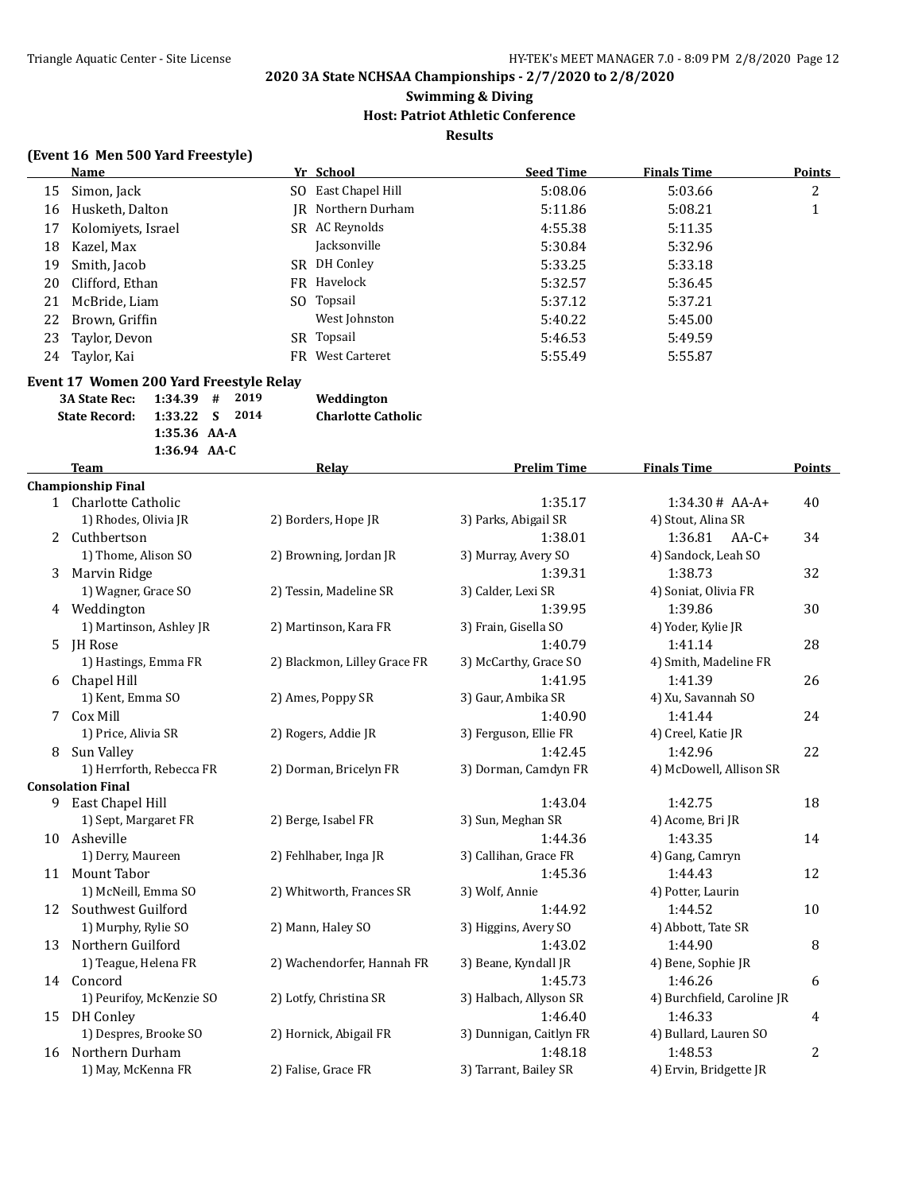# **Swimming & Diving Host: Patriot Athletic Conference Results**

#### **(Event 16 Men 500 Yard Freestyle)**

|    | Name               | Yr School           | <b>Seed Time</b> | <b>Finals Time</b> | <b>Points</b> |
|----|--------------------|---------------------|------------------|--------------------|---------------|
| 15 | Simon, Jack        | SO East Chapel Hill | 5:08.06          | 5:03.66            | າ             |
| 16 | Husketh, Dalton    | IR Northern Durham  | 5:11.86          | 5:08.21            |               |
| 17 | Kolomiyets, Israel | SR AC Reynolds      | 4:55.38          | 5:11.35            |               |
| 18 | Kazel, Max         | Jacksonville        | 5:30.84          | 5:32.96            |               |
| 19 | Smith, Jacob       | SR DH Conley        | 5:33.25          | 5:33.18            |               |
| 20 | Clifford, Ethan    | FR Havelock         | 5:32.57          | 5:36.45            |               |
| 21 | McBride, Liam      | SO Topsail          | 5:37.12          | 5:37.21            |               |
| 22 | Brown, Griffin     | West Johnston       | 5:40.22          | 5:45.00            |               |
| 23 | Taylor, Devon      | SR Topsail          | 5:46.53          | 5:49.59            |               |
| 24 | Taylor, Kai        | FR West Carteret    | 5:55.49          | 5:55.87            |               |

# **Event 17 Women 200 Yard Freestyle Relay**

| <b>3A State Rec:</b> | $1:34.39$ #<br>-2019 | Weddington                |
|----------------------|----------------------|---------------------------|
| <b>State Record:</b> | 1:33.22 S<br>2014    | <b>Charlotte Catholic</b> |
|                      | $1:35.36$ AA-A       |                           |
|                      | $1:36.94$ AA-C       |                           |

|    | <b>Team</b>               | <b>Relay</b>                 | <b>Prelim Time</b>      | <b>Finals Time</b>         | <b>Points</b> |
|----|---------------------------|------------------------------|-------------------------|----------------------------|---------------|
|    | <b>Championship Final</b> |                              |                         |                            |               |
|    | 1 Charlotte Catholic      |                              | 1:35.17                 | $1:34.30#$ AA-A+           | 40            |
|    | 1) Rhodes, Olivia JR      | 2) Borders, Hope JR          | 3) Parks, Abigail SR    | 4) Stout, Alina SR         |               |
| 2  | Cuthbertson               |                              | 1:38.01                 | 1:36.81<br>$AA-C+$         | 34            |
|    | 1) Thome, Alison SO       | 2) Browning, Jordan JR       | 3) Murray, Avery SO     | 4) Sandock, Leah SO        |               |
| 3  | Marvin Ridge              |                              | 1:39.31                 | 1:38.73                    | 32            |
|    | 1) Wagner, Grace SO       | 2) Tessin, Madeline SR       | 3) Calder, Lexi SR      | 4) Soniat, Olivia FR       |               |
|    | 4 Weddington              |                              | 1:39.95                 | 1:39.86                    | 30            |
|    | 1) Martinson, Ashley JR   | 2) Martinson, Kara FR        | 3) Frain, Gisella SO    | 4) Yoder, Kylie JR         |               |
| 5  | JH Rose                   |                              | 1:40.79                 | 1:41.14                    | 28            |
|    | 1) Hastings, Emma FR      | 2) Blackmon, Lilley Grace FR | 3) McCarthy, Grace SO   | 4) Smith, Madeline FR      |               |
| 6  | Chapel Hill               |                              | 1:41.95                 | 1:41.39                    | 26            |
|    | 1) Kent, Emma SO          | 2) Ames, Poppy SR            | 3) Gaur, Ambika SR      | 4) Xu, Savannah SO         |               |
|    | 7 Cox Mill                |                              | 1:40.90                 | 1:41.44                    | 24            |
|    | 1) Price, Alivia SR       | 2) Rogers, Addie JR          | 3) Ferguson, Ellie FR   | 4) Creel, Katie JR         |               |
| 8  | Sun Valley                |                              | 1:42.45                 | 1:42.96                    | 22            |
|    | 1) Herrforth, Rebecca FR  | 2) Dorman, Bricelyn FR       | 3) Dorman, Camdyn FR    | 4) McDowell, Allison SR    |               |
|    | <b>Consolation Final</b>  |                              |                         |                            |               |
| 9  | East Chapel Hill          |                              | 1:43.04                 | 1:42.75                    | 18            |
|    | 1) Sept, Margaret FR      | 2) Berge, Isabel FR          | 3) Sun, Meghan SR       | 4) Acome, Bri JR           |               |
|    | 10 Asheville              |                              | 1:44.36                 | 1:43.35                    | 14            |
|    | 1) Derry, Maureen         | 2) Fehlhaber, Inga JR        | 3) Callihan, Grace FR   | 4) Gang, Camryn            |               |
|    | 11 Mount Tabor            |                              | 1:45.36                 | 1:44.43                    | 12            |
|    | 1) McNeill, Emma SO       | 2) Whitworth, Frances SR     | 3) Wolf, Annie          | 4) Potter, Laurin          |               |
|    | 12 Southwest Guilford     |                              | 1:44.92                 | 1:44.52                    | 10            |
|    | 1) Murphy, Rylie SO       | 2) Mann, Haley SO            | 3) Higgins, Avery SO    | 4) Abbott, Tate SR         |               |
| 13 | Northern Guilford         |                              | 1:43.02                 | 1:44.90                    | 8             |
|    | 1) Teague, Helena FR      | 2) Wachendorfer, Hannah FR   | 3) Beane, Kyndall JR    | 4) Bene, Sophie JR         |               |
|    | 14 Concord                |                              | 1:45.73                 | 1:46.26                    | 6             |
|    | 1) Peurifoy, McKenzie SO  | 2) Lotfy, Christina SR       | 3) Halbach, Allyson SR  | 4) Burchfield, Caroline JR |               |
| 15 | DH Conley                 |                              | 1:46.40                 | 1:46.33                    | 4             |
|    | 1) Despres, Brooke SO     | 2) Hornick, Abigail FR       | 3) Dunnigan, Caitlyn FR | 4) Bullard, Lauren SO      |               |
| 16 | Northern Durham           |                              | 1:48.18                 | 1:48.53                    | 2             |
|    | 1) May, McKenna FR        | 2) Falise, Grace FR          | 3) Tarrant, Bailey SR   | 4) Ervin, Bridgette JR     |               |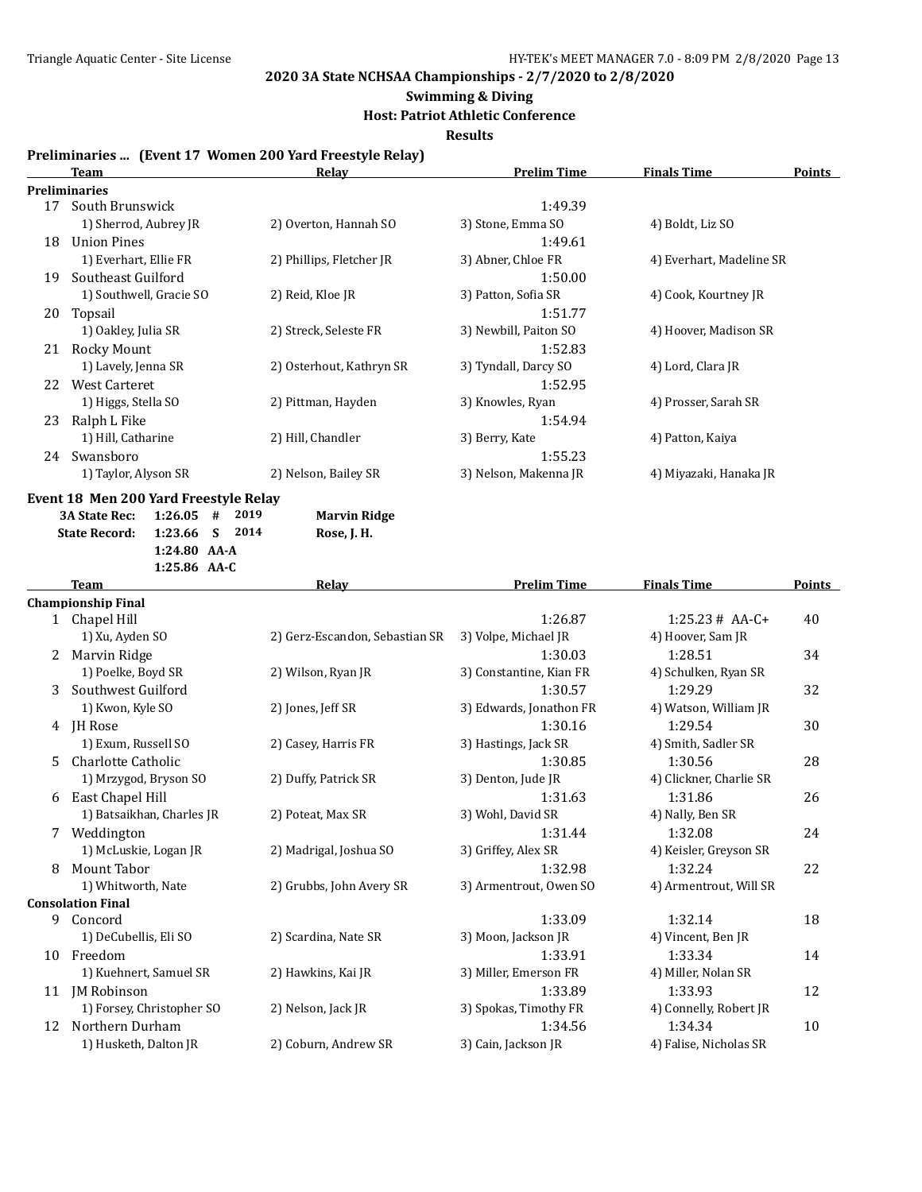# **Swimming & Diving**

**Host: Patriot Athletic Conference**

**Results**

#### **Preliminaries ... (Event 17 Women 200 Yard Freestyle Relay)**

|    | Team                                            | <b>Relay</b>                   | <b>Prelim Time</b>      | <b>Finals Time</b>             | Points |
|----|-------------------------------------------------|--------------------------------|-------------------------|--------------------------------|--------|
|    | <b>Preliminaries</b>                            |                                |                         |                                |        |
| 17 | South Brunswick                                 |                                | 1:49.39                 |                                |        |
|    | 1) Sherrod, Aubrey JR                           | 2) Overton, Hannah SO          | 3) Stone, Emma SO       | 4) Boldt, Liz SO               |        |
| 18 | <b>Union Pines</b>                              |                                | 1:49.61                 |                                |        |
|    | 1) Everhart, Ellie FR                           | 2) Phillips, Fletcher JR       | 3) Abner, Chloe FR      | 4) Everhart, Madeline SR       |        |
| 19 | Southeast Guilford                              |                                | 1:50.00                 |                                |        |
|    | 1) Southwell, Gracie SO                         | 2) Reid, Kloe JR               | 3) Patton, Sofia SR     | 4) Cook, Kourtney JR           |        |
|    | 20 Topsail                                      |                                | 1:51.77                 |                                |        |
|    | 1) Oakley, Julia SR                             | 2) Streck, Seleste FR          | 3) Newbill, Paiton SO   | 4) Hoover, Madison SR          |        |
|    | 21 Rocky Mount                                  |                                | 1:52.83                 |                                |        |
|    | 1) Lavely, Jenna SR                             | 2) Osterhout, Kathryn SR       | 3) Tyndall, Darcy SO    | 4) Lord, Clara JR              |        |
|    | 22 West Carteret                                |                                | 1:52.95                 |                                |        |
|    | 1) Higgs, Stella SO                             | 2) Pittman, Hayden             | 3) Knowles, Ryan        | 4) Prosser, Sarah SR           |        |
|    | 23 Ralph L Fike                                 |                                | 1:54.94                 |                                |        |
|    | 1) Hill, Catharine                              | 2) Hill, Chandler              | 3) Berry, Kate          | 4) Patton, Kaiya               |        |
|    | 24 Swansboro                                    |                                | 1:55.23                 |                                |        |
|    | 1) Taylor, Alyson SR                            | 2) Nelson, Bailey SR           | 3) Nelson, Makenna JR   | 4) Miyazaki, Hanaka JR         |        |
|    |                                                 |                                |                         |                                |        |
|    | Event 18 Men 200 Yard Freestyle Relay           |                                |                         |                                |        |
|    | 2019<br><b>3A State Rec:</b><br>1:26.05<br>$\#$ | <b>Marvin Ridge</b>            |                         |                                |        |
|    | 1:23.66 S 2014<br><b>State Record:</b>          | Rose, J. H.                    |                         |                                |        |
|    | 1:24.80 AA-A                                    |                                |                         |                                |        |
|    | 1:25.86 AA-C<br><b>Team</b>                     | Relay                          | <b>Prelim Time</b>      | <b>Finals Time</b>             | Points |
|    | <b>Championship Final</b>                       |                                |                         |                                |        |
|    | 1 Chapel Hill                                   |                                | 1:26.87                 | $1:25.23# AA-C+$               | 40     |
|    | 1) Xu, Ayden SO                                 | 2) Gerz-Escandon, Sebastian SR | 3) Volpe, Michael JR    | 4) Hoover, Sam JR              |        |
|    | 2 Marvin Ridge                                  |                                | 1:30.03                 | 1:28.51                        | 34     |
|    | 1) Poelke, Boyd SR                              | 2) Wilson, Ryan JR             | 3) Constantine, Kian FR | 4) Schulken, Ryan SR           |        |
| 3  | Southwest Guilford                              |                                | 1:30.57                 | 1:29.29                        | 32     |
|    | 1) Kwon, Kyle SO                                | 2) Jones, Jeff SR              | 3) Edwards, Jonathon FR | 4) Watson, William JR          |        |
|    |                                                 |                                |                         |                                |        |
|    | 4 JH Rose<br>1) Exum, Russell SO                | 2) Casey, Harris FR            | 1:30.16                 | 1:29.54<br>4) Smith, Sadler SR | 30     |
|    | Charlotte Catholic                              |                                | 3) Hastings, Jack SR    | 1:30.56                        | 28     |
| 5. | 1) Mrzygod, Bryson SO                           |                                | 1:30.85                 |                                |        |
|    |                                                 | 2) Duffy, Patrick SR           | 3) Denton, Jude JR      | 4) Clickner, Charlie SR        |        |
| 6  | East Chapel Hill                                |                                | 1:31.63                 | 1:31.86                        | 26     |
|    | 1) Batsaikhan, Charles JR                       | 2) Poteat, Max SR              | 3) Wohl, David SR       | 4) Nally, Ben SR               |        |
| 7  | Weddington                                      |                                | 1:31.44                 | 1:32.08                        | 24     |
|    | 1) McLuskie, Logan JR                           | 2) Madrigal, Joshua SO         | 3) Griffey, Alex SR     | 4) Keisler, Greyson SR         |        |
| 8  | Mount Tabor                                     |                                | 1:32.98                 | 1:32.24                        | 22     |
|    | 1) Whitworth, Nate                              | 2) Grubbs, John Avery SR       | 3) Armentrout, Owen SO  | 4) Armentrout, Will SR         |        |
|    | <b>Consolation Final</b>                        |                                |                         |                                |        |
| 9  | Concord                                         |                                | 1:33.09                 | 1:32.14                        | 18     |
|    | 1) DeCubellis, Eli SO                           | 2) Scardina, Nate SR           | 3) Moon, Jackson JR     | 4) Vincent, Ben JR             |        |
|    | 10 Freedom                                      |                                | 1:33.91                 | 1:33.34                        | 14     |
|    | 1) Kuehnert, Samuel SR                          | 2) Hawkins, Kai JR             | 3) Miller, Emerson FR   | 4) Miller, Nolan SR            |        |
|    | 11 JM Robinson                                  |                                | 1:33.89                 | 1:33.93                        | 12     |
|    | 1) Forsey, Christopher SO                       | 2) Nelson, Jack JR             | 3) Spokas, Timothy FR   | 4) Connelly, Robert JR         |        |
|    | 12 Northern Durham                              |                                | 1:34.56                 | 1:34.34                        | 10     |
|    | 1) Husketh, Dalton JR                           | 2) Coburn, Andrew SR           | 3) Cain, Jackson JR     | 4) Falise, Nicholas SR         |        |
|    |                                                 |                                |                         |                                |        |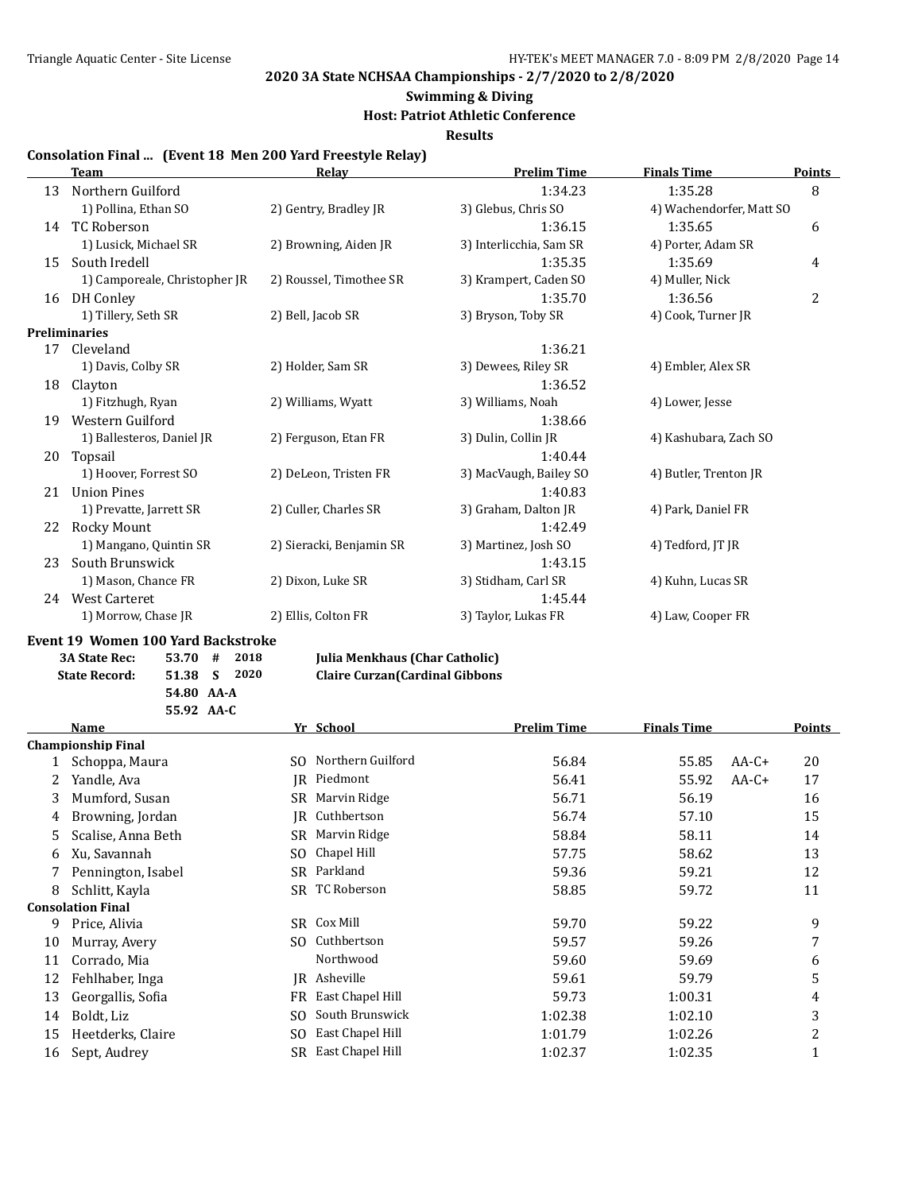#### **Swimming & Diving**

**Host: Patriot Athletic Conference**

**Results**

#### **Consolation Final ... (Event 18 Men 200 Yard Freestyle Relay)**

|    | <b>Team</b>                   | <b>Relay</b>             | <b>Prelim Time</b>      | <b>Finals Time</b>       | <b>Points</b>  |
|----|-------------------------------|--------------------------|-------------------------|--------------------------|----------------|
| 13 | Northern Guilford             |                          | 1:34.23                 | 1:35.28                  | 8              |
|    | 1) Pollina, Ethan SO          | 2) Gentry, Bradley JR    | 3) Glebus, Chris SO     | 4) Wachendorfer, Matt SO |                |
| 14 | TC Roberson                   |                          | 1:36.15                 | 1:35.65                  | 6              |
|    | 1) Lusick, Michael SR         | 2) Browning, Aiden JR    | 3) Interlicchia, Sam SR | 4) Porter, Adam SR       |                |
| 15 | South Iredell                 |                          | 1:35.35                 | 1:35.69                  | 4              |
|    | 1) Camporeale, Christopher JR | 2) Roussel, Timothee SR  | 3) Krampert, Caden SO   | 4) Muller, Nick          |                |
| 16 | DH Conley                     |                          | 1:35.70                 | 1:36.56                  | $\overline{c}$ |
|    | 1) Tillery, Seth SR           | 2) Bell, Jacob SR        | 3) Bryson, Toby SR      | 4) Cook, Turner JR       |                |
|    | <b>Preliminaries</b>          |                          |                         |                          |                |
| 17 | Cleveland                     |                          | 1:36.21                 |                          |                |
|    | 1) Davis, Colby SR            | 2) Holder, Sam SR        | 3) Dewees, Riley SR     | 4) Embler, Alex SR       |                |
| 18 | Clayton                       |                          | 1:36.52                 |                          |                |
|    | 1) Fitzhugh, Ryan             | 2) Williams, Wyatt       | 3) Williams, Noah       | 4) Lower, Jesse          |                |
| 19 | Western Guilford              |                          | 1:38.66                 |                          |                |
|    | 1) Ballesteros, Daniel JR     | 2) Ferguson, Etan FR     | 3) Dulin, Collin JR     | 4) Kashubara, Zach SO    |                |
| 20 | Topsail                       |                          | 1:40.44                 |                          |                |
|    | 1) Hoover, Forrest SO         | 2) DeLeon, Tristen FR    | 3) MacVaugh, Bailey SO  | 4) Butler, Trenton JR    |                |
| 21 | <b>Union Pines</b>            |                          | 1:40.83                 |                          |                |
|    | 1) Prevatte, Jarrett SR       | 2) Culler, Charles SR    | 3) Graham, Dalton JR    | 4) Park, Daniel FR       |                |
| 22 | <b>Rocky Mount</b>            |                          | 1:42.49                 |                          |                |
|    | 1) Mangano, Quintin SR        | 2) Sieracki, Benjamin SR | 3) Martinez, Josh SO    | 4) Tedford, JT JR        |                |
| 23 | South Brunswick               |                          | 1:43.15                 |                          |                |
|    | 1) Mason, Chance FR           | 2) Dixon, Luke SR        | 3) Stidham, Carl SR     | 4) Kuhn, Lucas SR        |                |
| 24 | <b>West Carteret</b>          |                          | 1:45.44                 |                          |                |
|    | 1) Morrow, Chase JR           | 2) Ellis, Colton FR      | 3) Taylor, Lukas FR     | 4) Law, Cooper FR        |                |

#### **Event 19 Women 100 Yard Backstroke**

| <b>3A State Rec:</b> |            | $53.70$ # 2018 | [ulia] |
|----------------------|------------|----------------|--------|
| <b>State Record:</b> |            | 51.38 S 2020   | Claire |
|                      | 54.80 AA-A |                |        |
|                      | 55.92 AA-C |                |        |

**Menkhaus (Char Catholic) State Record: 51.38 S 2020 Claire Curzan(Cardinal Gibbons**

|    | Name                      |      | Yr School         | <b>Prelim Time</b> | <b>Finals Time</b> |         | <b>Points</b> |
|----|---------------------------|------|-------------------|--------------------|--------------------|---------|---------------|
|    | <b>Championship Final</b> |      |                   |                    |                    |         |               |
|    | Schoppa, Maura            | SO.  | Northern Guilford | 56.84              | 55.85              | $AA-C+$ | 20            |
|    | Yandle, Ava               | IR   | Piedmont          | 56.41              | 55.92              | $AA-C+$ | 17            |
| 3  | Mumford, Susan            | SR   | Marvin Ridge      | 56.71              | 56.19              |         | 16            |
| 4  | Browning, Jordan          | IR   | Cuthbertson       | 56.74              | 57.10              |         | 15            |
| 5. | Scalise, Anna Beth        | SR   | Marvin Ridge      | 58.84              | 58.11              |         | 14            |
| 6  | Xu, Savannah              | SO.  | Chapel Hill       | 57.75              | 58.62              |         | 13            |
|    | Pennington, Isabel        | SR   | Parkland          | 59.36              | 59.21              |         | 12            |
| 8  | Schlitt, Kayla            | SR   | TC Roberson       | 58.85              | 59.72              |         | 11            |
|    | <b>Consolation Final</b>  |      |                   |                    |                    |         |               |
| 9  | Price, Alivia             | SR - | Cox Mill          | 59.70              | 59.22              |         | 9             |
| 10 | Murray, Avery             | SO.  | Cuthbertson       | 59.57              | 59.26              |         | 7             |
| 11 | Corrado, Mia              |      | Northwood         | 59.60              | 59.69              |         | 6             |
| 12 | Fehlhaber, Inga           | IR   | Asheville         | 59.61              | 59.79              |         | 5             |
| 13 | Georgallis, Sofia         | FR   | East Chapel Hill  | 59.73              | 1:00.31            |         | 4             |
| 14 | Boldt, Liz                | SO.  | South Brunswick   | 1:02.38            | 1:02.10            |         | 3             |
| 15 | Heetderks, Claire         | SO.  | East Chapel Hill  | 1:01.79            | 1:02.26            |         | 2             |
| 16 | Sept, Audrey              | SR   | East Chapel Hill  | 1:02.37            | 1:02.35            |         | 1             |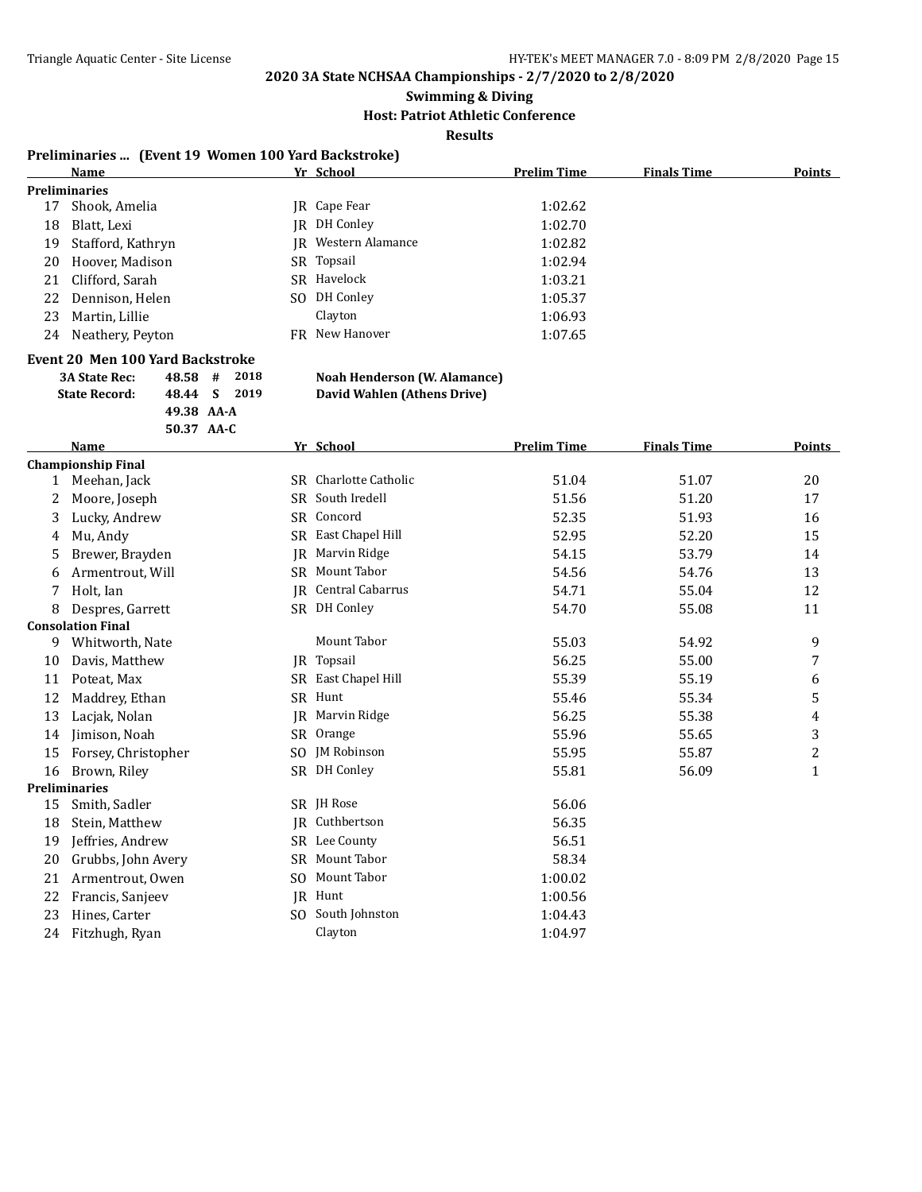**Swimming & Diving**

**Host: Patriot Athletic Conference**

**Results**

#### **Preliminaries ... (Event 19 Women 100 Yard Backstroke)**

|     | Name                 | Yr School           | <b>Prelim Time</b> | <b>Finals Time</b> | <b>Points</b> |
|-----|----------------------|---------------------|--------------------|--------------------|---------------|
|     | <b>Preliminaries</b> |                     |                    |                    |               |
| 17  | Shook, Amelia        | IR Cape Fear        | 1:02.62            |                    |               |
| 18  | Blatt, Lexi          | IR DH Conley        | 1:02.70            |                    |               |
| 19. | Stafford, Kathryn    | IR Western Alamance | 1:02.82            |                    |               |
| 20  | Hoover, Madison      | SR Topsail          | 1:02.94            |                    |               |
| 21  | Clifford, Sarah      | SR Havelock         | 1:03.21            |                    |               |
|     | 22 Dennison, Helen   | SO DH Conley        | 1:05.37            |                    |               |
| 23  | Martin, Lillie       | Clayton             | 1:06.93            |                    |               |
| 24  | Neathery, Peyton     | FR New Hanover      | 1:07.65            |                    |               |
|     |                      |                     |                    |                    |               |

#### **Event 20 Men 100 Yard Backstroke**

| <b>3A State Rec:</b> | 48.58 # 2018 |  |  |
|----------------------|--------------|--|--|
| <b>State Record:</b> | 48.44 S 2019 |  |  |
|                      | 49.38 AA-A   |  |  |
|                      | 50.37 AA-C   |  |  |

# **3A State Rec: 48.58 # 2018 Noah Henderson (W. Alamance)**

**State Record: 48.44 S 2019 David Wahlen (Athens Drive)**

|    | <b>Name</b>               |                | Yr School             | <b>Prelim Time</b> | <b>Finals Time</b> | <b>Points</b>  |
|----|---------------------------|----------------|-----------------------|--------------------|--------------------|----------------|
|    | <b>Championship Final</b> |                |                       |                    |                    |                |
|    | Meehan, Jack              |                | SR Charlotte Catholic | 51.04              | 51.07              | 20             |
| 2  | Moore, Joseph             | SR             | South Iredell         | 51.56              | 51.20              | 17             |
| 3  | Lucky, Andrew             |                | SR Concord            | 52.35              | 51.93              | 16             |
| 4  | Mu, Andy                  | SR.            | East Chapel Hill      | 52.95              | 52.20              | 15             |
| 5  | Brewer, Brayden           | IR.            | Marvin Ridge          | 54.15              | 53.79              | 14             |
| 6  | Armentrout, Will          | SR             | Mount Tabor           | 54.56              | 54.76              | 13             |
| 7  | Holt, Ian                 | IR.            | Central Cabarrus      | 54.71              | 55.04              | 12             |
| 8  | Despres, Garrett          |                | SR DH Conley          | 54.70              | 55.08              | 11             |
|    | <b>Consolation Final</b>  |                |                       |                    |                    |                |
| 9  | Whitworth, Nate           |                | Mount Tabor           | 55.03              | 54.92              | 9              |
| 10 | Davis, Matthew            | IR             | Topsail               | 56.25              | 55.00              | 7              |
| 11 | Poteat, Max               |                | SR East Chapel Hill   | 55.39              | 55.19              | 6              |
| 12 | Maddrey, Ethan            | SR             | Hunt                  | 55.46              | 55.34              | 5              |
| 13 | Lacjak, Nolan             | IR             | Marvin Ridge          | 56.25              | 55.38              | 4              |
| 14 | Jimison, Noah             | SR             | Orange                | 55.96              | 55.65              | 3              |
| 15 | Forsey, Christopher       | SO.            | <b>JM Robinson</b>    | 55.95              | 55.87              | $\overline{c}$ |
| 16 | Brown, Riley              |                | SR DH Conley          | 55.81              | 56.09              | $\mathbf{1}$   |
|    | <b>Preliminaries</b>      |                |                       |                    |                    |                |
| 15 | Smith, Sadler             |                | SR JH Rose            | 56.06              |                    |                |
| 18 | Stein, Matthew            | IR             | Cuthbertson           | 56.35              |                    |                |
| 19 | Jeffries, Andrew          | SR             | Lee County            | 56.51              |                    |                |
| 20 | Grubbs, John Avery        | <b>SR</b>      | Mount Tabor           | 58.34              |                    |                |
| 21 | Armentrout, Owen          | S <sub>O</sub> | Mount Tabor           | 1:00.02            |                    |                |
| 22 | Francis, Sanjeev          | <b>IR</b>      | Hunt                  | 1:00.56            |                    |                |
| 23 | Hines, Carter             | SO.            | South Johnston        | 1:04.43            |                    |                |
| 24 | Fitzhugh, Ryan            |                | Clayton               | 1:04.97            |                    |                |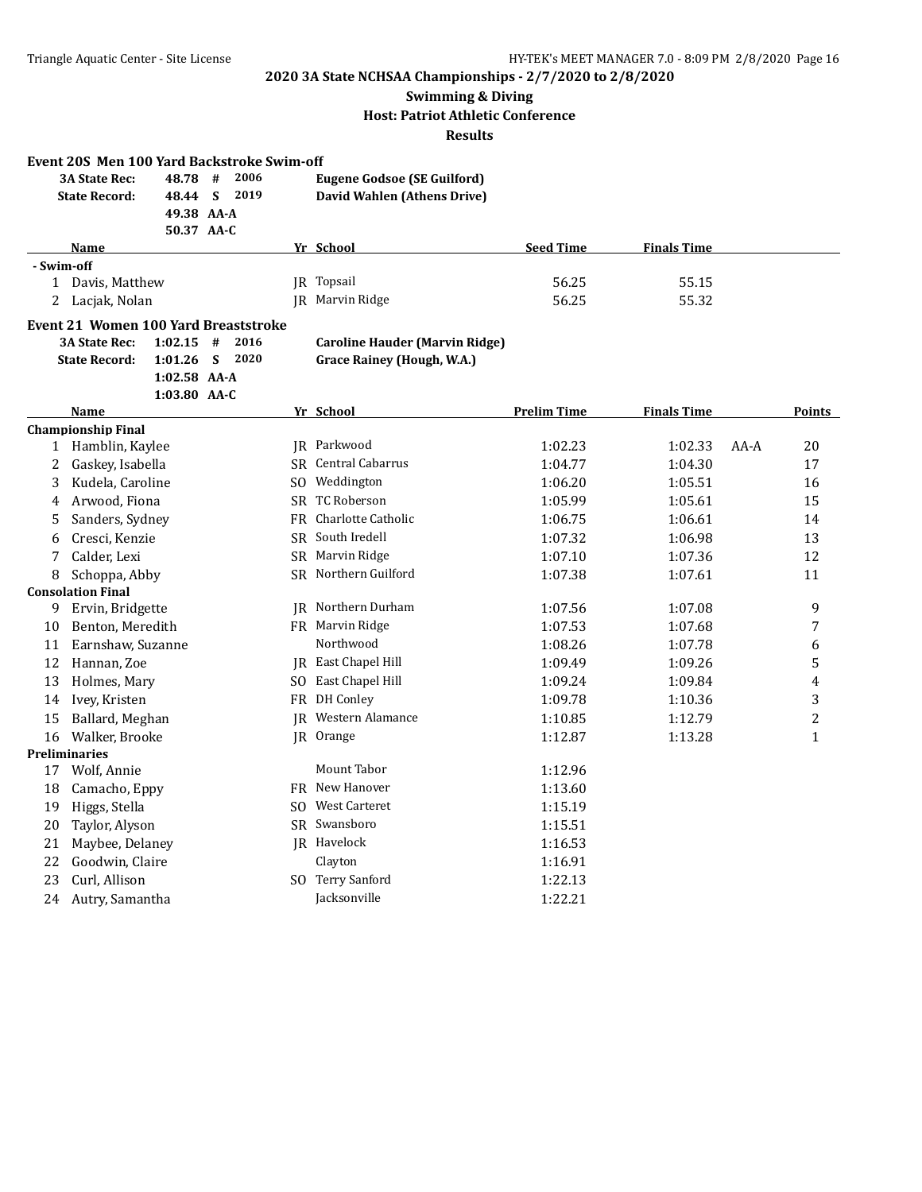# **Swimming & Diving**

**Host: Patriot Athletic Conference**

**Results**

|  | Event 20S Men 100 Yard Backstroke Swim-off |  |
|--|--------------------------------------------|--|
|--|--------------------------------------------|--|

| Name                 |                 | Yr School                   | <b>Seed Time</b> | <b>Finals Time</b> |
|----------------------|-----------------|-----------------------------|------------------|--------------------|
|                      | 50.37 AA-C      |                             |                  |                    |
|                      | 49.38 AA-A      |                             |                  |                    |
| <b>State Record:</b> | 2019<br>48.44 S | David Wahlen (Athens Drive) |                  |                    |
| <b>3A State Rec:</b> | 2006<br>48.78 # | Eugene Godsoe (SE Guilford) |                  |                    |

#### **- Swim-off** 1 Davis, Matthew JR Topsail 56.25 55.15 2 Lacjak, Nolan **JR** Marvin Ridge 56.25 55.32

#### **Event 21 Women 100 Yard Breaststroke**

**3A State Rec: 1:02.15 # 2016 Caroline Hauder (Marvin Ridge) State Record: 1:01.26 S 2020 Grace Rainey (Hough, W.A.) 1:02.58 AA-A 1:03.80 AA-C**

#### **Championship Final**

|    | <b>Name</b>               |           | Yr School            | <b>Prelim Time</b> | <b>Finals Time</b> |      | <b>Points</b>  |
|----|---------------------------|-----------|----------------------|--------------------|--------------------|------|----------------|
|    | <b>Championship Final</b> |           |                      |                    |                    |      |                |
| 1  | Hamblin, Kaylee           |           | IR Parkwood          | 1:02.23            | 1:02.33            | AA-A | 20             |
| 2  | Gaskey, Isabella          | SR        | Central Cabarrus     | 1:04.77            | 1:04.30            |      | 17             |
| 3  | Kudela, Caroline          | SO.       | Weddington           | 1:06.20            | 1:05.51            |      | 16             |
| 4  | Arwood, Fiona             | SR.       | <b>TC Roberson</b>   | 1:05.99            | 1:05.61            |      | 15             |
| 5  | Sanders, Sydney           | FR        | Charlotte Catholic   | 1:06.75            | 1:06.61            |      | 14             |
| 6  | Cresci, Kenzie            | <b>SR</b> | South Iredell        | 1:07.32            | 1:06.98            |      | 13             |
| 7  | Calder, Lexi              | SR.       | Marvin Ridge         | 1:07.10            | 1:07.36            |      | 12             |
| 8  | Schoppa, Abby             | SR.       | Northern Guilford    | 1:07.38            | 1:07.61            |      | 11             |
|    | <b>Consolation Final</b>  |           |                      |                    |                    |      |                |
| 9  | Ervin, Bridgette          | IR        | Northern Durham      | 1:07.56            | 1:07.08            |      | 9              |
| 10 | Benton, Meredith          | <b>FR</b> | Marvin Ridge         | 1:07.53            | 1:07.68            |      | 7              |
| 11 | Earnshaw, Suzanne         |           | Northwood            | 1:08.26            | 1:07.78            |      | 6              |
| 12 | Hannan, Zoe               | IR        | East Chapel Hill     | 1:09.49            | 1:09.26            |      | 5              |
| 13 | Holmes, Mary              | SO.       | East Chapel Hill     | 1:09.24            | 1:09.84            |      | 4              |
| 14 | Ivey, Kristen             | <b>FR</b> | DH Conley            | 1:09.78            | 1:10.36            |      | 3              |
| 15 | Ballard, Meghan           | IR        | Western Alamance     | 1:10.85            | 1:12.79            |      | $\overline{c}$ |
| 16 | Walker, Brooke            |           | JR Orange            | 1:12.87            | 1:13.28            |      | $\mathbf{1}$   |
|    | <b>Preliminaries</b>      |           |                      |                    |                    |      |                |
| 17 | Wolf, Annie               |           | Mount Tabor          | 1:12.96            |                    |      |                |
| 18 | Camacho, Eppy             | FR.       | New Hanover          | 1:13.60            |                    |      |                |
| 19 | Higgs, Stella             | SO.       | <b>West Carteret</b> | 1:15.19            |                    |      |                |
| 20 | Taylor, Alyson            | <b>SR</b> | Swansboro            | 1:15.51            |                    |      |                |
| 21 | Maybee, Delaney           |           | JR Havelock          | 1:16.53            |                    |      |                |
| 22 | Goodwin, Claire           |           | Clayton              | 1:16.91            |                    |      |                |
| 23 | Curl, Allison             | SO.       | <b>Terry Sanford</b> | 1:22.13            |                    |      |                |
| 24 | Autry, Samantha           |           | Jacksonville         | 1:22.21            |                    |      |                |
|    |                           |           |                      |                    |                    |      |                |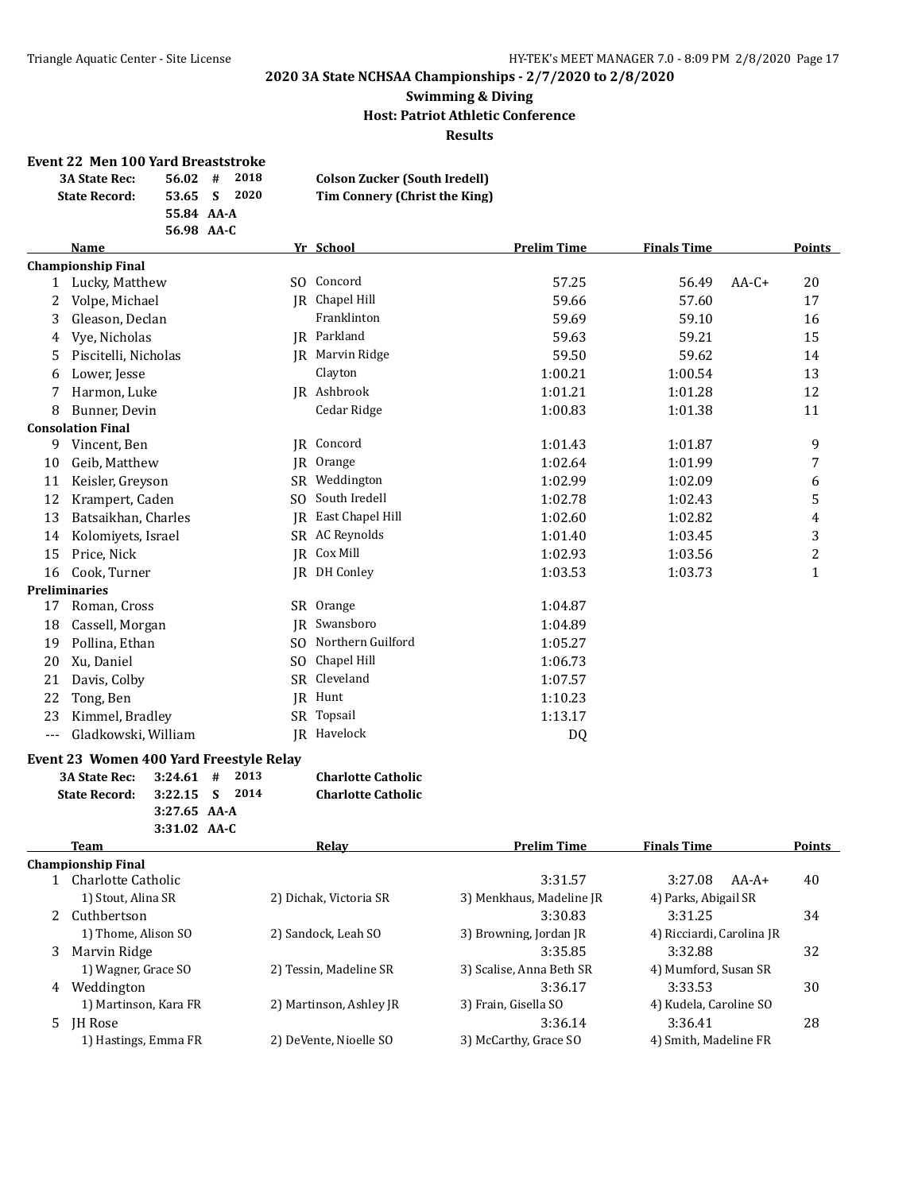## **Swimming & Diving Host: Patriot Athletic Conference Results**

#### **Event 22 Men 100 Yard Breaststroke**

| <b>3A State Rec:</b><br>56.02   | #          | 2018 | <b>Colson Zucker (South Iredell)</b> |
|---------------------------------|------------|------|--------------------------------------|
| <b>State Record:</b><br>53.65 S |            | 2020 | Tim Connery (Christ the King)        |
|                                 | 55.84 AA-A |      |                                      |
|                                 | 56.98 AA-C |      |                                      |

| Name                 |                                                                        |                  | <b>Prelim Time</b>                                                                                                                                                  | <b>Finals Time</b> |         | Points      |
|----------------------|------------------------------------------------------------------------|------------------|---------------------------------------------------------------------------------------------------------------------------------------------------------------------|--------------------|---------|-------------|
|                      |                                                                        |                  |                                                                                                                                                                     |                    |         |             |
| Lucky, Matthew       |                                                                        |                  | 57.25                                                                                                                                                               | 56.49              | $AA-C+$ | 20          |
| Volpe, Michael       |                                                                        |                  | 59.66                                                                                                                                                               | 57.60              |         | 17          |
| Gleason, Declan      |                                                                        | Franklinton      | 59.69                                                                                                                                                               | 59.10              |         | 16          |
| Vye, Nicholas        |                                                                        |                  | 59.63                                                                                                                                                               | 59.21              |         | 15          |
| Piscitelli, Nicholas | IR                                                                     | Marvin Ridge     | 59.50                                                                                                                                                               | 59.62              |         | 14          |
| Lower, Jesse         |                                                                        | Clayton          | 1:00.21                                                                                                                                                             | 1:00.54            |         | 13          |
| Harmon, Luke         |                                                                        |                  | 1:01.21                                                                                                                                                             | 1:01.28            |         | 12          |
| Bunner, Devin        |                                                                        | Cedar Ridge      | 1:00.83                                                                                                                                                             | 1:01.38            |         | 11          |
|                      |                                                                        |                  |                                                                                                                                                                     |                    |         |             |
| Vincent, Ben         | IR                                                                     | Concord          | 1:01.43                                                                                                                                                             | 1:01.87            |         | 9           |
| Geib, Matthew        | IR                                                                     | Orange           | 1:02.64                                                                                                                                                             | 1:01.99            |         | 7           |
| Keisler, Greyson     | SR.                                                                    | Weddington       | 1:02.99                                                                                                                                                             | 1:02.09            |         | 6           |
| Krampert, Caden      | SO.                                                                    | South Iredell    | 1:02.78                                                                                                                                                             | 1:02.43            |         | 5           |
| Batsaikhan, Charles  | IR.                                                                    | East Chapel Hill | 1:02.60                                                                                                                                                             | 1:02.82            |         | 4           |
| Kolomiyets, Israel   |                                                                        |                  | 1:01.40                                                                                                                                                             | 1:03.45            |         | 3           |
| Price, Nick          | IR                                                                     | Cox Mill         | 1:02.93                                                                                                                                                             | 1:03.56            |         | 2           |
| Cook, Turner         |                                                                        |                  | 1:03.53                                                                                                                                                             | 1:03.73            |         | $\mathbf 1$ |
|                      |                                                                        |                  |                                                                                                                                                                     |                    |         |             |
| Roman, Cross         | SR.                                                                    | Orange           | 1:04.87                                                                                                                                                             |                    |         |             |
| Cassell, Morgan      |                                                                        | Swansboro        | 1:04.89                                                                                                                                                             |                    |         |             |
| Pollina, Ethan       |                                                                        |                  | 1:05.27                                                                                                                                                             |                    |         |             |
| Xu, Daniel           | SO.                                                                    | Chapel Hill      | 1:06.73                                                                                                                                                             |                    |         |             |
| Davis, Colby         | SR.                                                                    | Cleveland        | 1:07.57                                                                                                                                                             |                    |         |             |
| Tong, Ben            |                                                                        | Hunt             | 1:10.23                                                                                                                                                             |                    |         |             |
| Kimmel, Bradley      | SR.                                                                    | Topsail          | 1:13.17                                                                                                                                                             |                    |         |             |
| Gladkowski, William  |                                                                        |                  | DQ                                                                                                                                                                  |                    |         |             |
|                      | <b>Championship Final</b><br><b>Consolation Final</b><br>Preliminaries |                  | Yr School<br>SO Concord<br>JR Chapel Hill<br>JR Parkland<br>JR Ashbrook<br>SR AC Reynolds<br><b>IR DH Conley</b><br>IR<br>SO Northern Guilford<br>IR<br>JR Havelock |                    |         |             |

#### **Event 23 Women 400 Yard Freestyle Relay**

| 3A State Rec: 3:24.61 # 2013 |                |  | <b>Charlotte Catholic</b> |
|------------------------------|----------------|--|---------------------------|
| State Record: 3:22.15 S 2014 |                |  | <b>Charlotte Catholic</b> |
|                              | $3:27.65$ AA-A |  |                           |
|                              | $3:31.02$ AA-C |  |                           |

|   | Team                      | Relay                   | <b>Prelim Time</b>       | <b>Finals Time</b>        | Points |
|---|---------------------------|-------------------------|--------------------------|---------------------------|--------|
|   | <b>Championship Final</b> |                         |                          |                           |        |
|   | Charlotte Catholic        |                         | 3:31.57                  | 3:27.08<br>$AA-A+$        | 40     |
|   | 1) Stout, Alina SR        | 2) Dichak, Victoria SR  | 3) Menkhaus, Madeline JR | 4) Parks, Abigail SR      |        |
|   | Cuthbertson               |                         | 3:30.83                  | 3:31.25                   | 34     |
|   | 1) Thome, Alison SO       | 2) Sandock, Leah SO     | 3) Browning, Jordan JR   | 4) Ricciardi, Carolina JR |        |
| 3 | Marvin Ridge              |                         | 3:35.85                  | 3:32.88                   | 32     |
|   | 1) Wagner, Grace SO       | 2) Tessin, Madeline SR  | 3) Scalise, Anna Beth SR | 4) Mumford, Susan SR      |        |
| 4 | Weddington                |                         | 3:36.17                  | 3:33.53                   | 30     |
|   | 1) Martinson, Kara FR     | 2) Martinson, Ashley JR | 3) Frain, Gisella SO     | 4) Kudela, Caroline SO    |        |
| 5 | <b>IH</b> Rose            |                         | 3:36.14                  | 3:36.41                   | 28     |
|   | 1) Hastings, Emma FR      | 2) DeVente, Nioelle SO  | 3) McCarthy, Grace SO    | 4) Smith, Madeline FR     |        |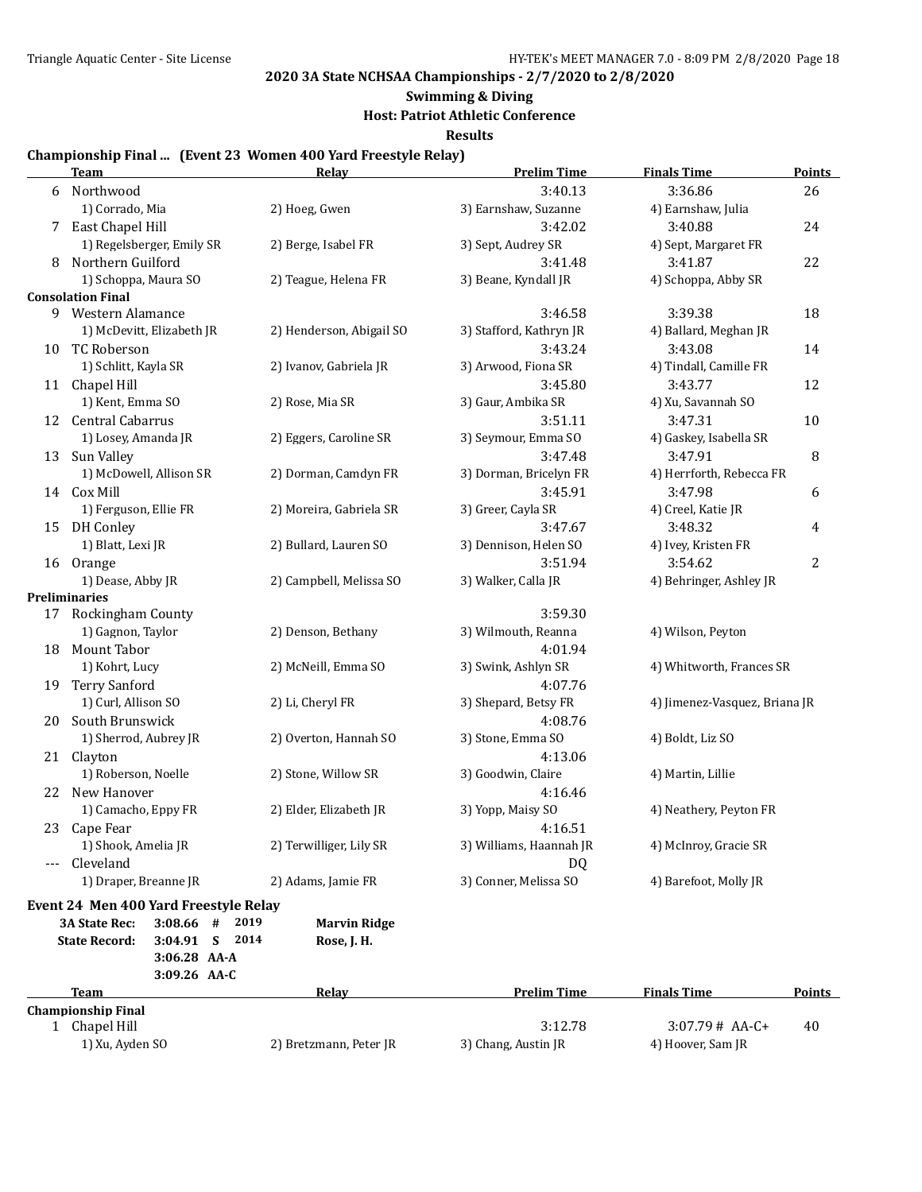**Swimming & Diving**

**Host: Patriot Athletic Conference**

**Results**

# **Championship Final ... (Event 23 Women 400 Yard Freestyle Relay)**

|                           | <b>Team</b>                                     | Relay                    | <b>Prelim Time</b>          | <b>Finals Time</b>            | <b>Points</b> |
|---------------------------|-------------------------------------------------|--------------------------|-----------------------------|-------------------------------|---------------|
| 6                         | Northwood                                       |                          | 3:40.13                     | 3:36.86                       | 26            |
|                           | 1) Corrado, Mia                                 | 2) Hoeg, Gwen            | 3) Earnshaw, Suzanne        | 4) Earnshaw, Julia            |               |
| 7                         | East Chapel Hill                                |                          | 3:42.02                     | 3:40.88                       | 24            |
| 1) Regelsberger, Emily SR |                                                 | 2) Berge, Isabel FR      | 3) Sept, Audrey SR          | 4) Sept, Margaret FR          |               |
| 8                         | Northern Guilford                               |                          | 3:41.48                     | 3:41.87                       | 22            |
|                           | 1) Schoppa, Maura SO                            | 2) Teague, Helena FR     | 3) Beane, Kyndall JR        | 4) Schoppa, Abby SR           |               |
|                           | <b>Consolation Final</b>                        |                          |                             |                               |               |
| 9                         | Western Alamance                                |                          | 3:46.58                     | 3:39.38                       | 18            |
|                           | 1) McDevitt, Elizabeth JR                       | 2) Henderson, Abigail SO | 3) Stafford, Kathryn JR     | 4) Ballard, Meghan JR         |               |
|                           | 10 TC Roberson                                  |                          | 3:43.24                     | 3:43.08                       | 14            |
|                           | 1) Schlitt, Kayla SR                            | 2) Ivanov, Gabriela JR   | 3) Arwood, Fiona SR         | 4) Tindall, Camille FR        |               |
|                           | 11 Chapel Hill                                  |                          | 3:45.80                     | 3:43.77                       | 12            |
|                           | 1) Kent, Emma SO                                | 2) Rose, Mia SR          | 3) Gaur, Ambika SR          | 4) Xu, Savannah SO            |               |
|                           | 12 Central Cabarrus                             |                          | 3:51.11                     | 3:47.31                       | 10            |
|                           | 1) Losey, Amanda JR                             | 2) Eggers, Caroline SR   | 3) Seymour, Emma SO         | 4) Gaskey, Isabella SR        |               |
|                           | 13 Sun Valley                                   |                          | 3:47.48                     | 3:47.91                       | 8             |
|                           | 1) McDowell, Allison SR                         | 2) Dorman, Camdyn FR     | 3) Dorman, Bricelyn FR      | 4) Herrforth, Rebecca FR      |               |
|                           | 14 Cox Mill                                     |                          | 3:45.91                     | 3:47.98                       | 6             |
|                           | 1) Ferguson, Ellie FR                           | 2) Moreira, Gabriela SR  | 3) Greer, Cayla SR          | 4) Creel, Katie JR            |               |
| 15                        | DH Conley                                       |                          | 3:47.67                     | 3:48.32                       | 4             |
|                           | 1) Blatt, Lexi JR                               | 2) Bullard, Lauren SO    | 3) Dennison, Helen SO       | 4) Ivey, Kristen FR           |               |
|                           | 16 Orange                                       |                          | 3:51.94                     | 3:54.62                       | 2             |
|                           | 1) Dease, Abby JR                               | 2) Campbell, Melissa SO  | 3) Walker, Calla JR         | 4) Behringer, Ashley JR       |               |
|                           | <b>Preliminaries</b>                            |                          |                             |                               |               |
| 17                        | Rockingham County                               |                          | 3:59.30                     |                               |               |
|                           | 1) Gagnon, Taylor                               | 2) Denson, Bethany       | 3) Wilmouth, Reanna         | 4) Wilson, Peyton             |               |
| 18                        | Mount Tabor                                     |                          | 4:01.94                     |                               |               |
|                           | 1) Kohrt, Lucy                                  | 2) McNeill, Emma SO      | 3) Swink, Ashlyn SR         | 4) Whitworth, Frances SR      |               |
| 19                        | <b>Terry Sanford</b>                            |                          | 4:07.76                     |                               |               |
|                           | 1) Curl, Allison SO                             | 2) Li, Cheryl FR         | 3) Shepard, Betsy FR        | 4) Jimenez-Vasquez, Briana JR |               |
| 20                        | South Brunswick                                 |                          | 4:08.76                     |                               |               |
|                           | 1) Sherrod, Aubrey JR                           | 2) Overton, Hannah SO    | 3) Stone, Emma SO           | 4) Boldt, Liz SO              |               |
|                           | 21 Clayton                                      |                          | 4:13.06                     |                               |               |
|                           | 1) Roberson, Noelle                             | 2) Stone, Willow SR      | 3) Goodwin, Claire          | 4) Martin, Lillie             |               |
| 22                        | New Hanover                                     |                          | 4:16.46                     |                               |               |
|                           | 1) Camacho, Eppy FR                             | 2) Elder, Elizabeth JR   | 3) Yopp, Maisy SO           | 4) Neathery, Peyton FR        |               |
|                           | 23 Cape Fear                                    |                          | 4:16.51                     |                               |               |
|                           | 1) Shook, Amelia JR                             | 2) Terwilliger, Lily SR  | 3) Williams, Haannah JR     | 4) McInroy, Gracie SR         |               |
|                           |                                                 |                          |                             |                               |               |
|                           | Cleveland<br>1) Draper, Breanne JR              | 2) Adams, Jamie FR       | DQ<br>3) Conner, Melissa SO | 4) Barefoot, Molly JR         |               |
|                           |                                                 |                          |                             |                               |               |
|                           | Event 24 Men 400 Yard Freestyle Relay           |                          |                             |                               |               |
|                           | <b>3A State Rec:</b><br>3:08.66<br>$\#$<br>2019 | <b>Marvin Ridge</b>      |                             |                               |               |
|                           | S<br>2014<br><b>State Record:</b><br>3:04.91    | Rose, J. H.              |                             |                               |               |
|                           | 3:06.28 AA-A                                    |                          |                             |                               |               |
|                           | 3:09.26 AA-C                                    |                          |                             |                               |               |
|                           | Team                                            | <b>Relay</b>             | <b>Prelim Time</b>          | <b>Finals Time</b>            | <b>Points</b> |
|                           | <b>Championship Final</b>                       |                          |                             |                               |               |
|                           | 1 Chapel Hill                                   |                          | 3:12.78                     | $3:07.79# AA-C+$              | 40            |
|                           | 1) Xu, Ayden SO                                 | 2) Bretzmann, Peter JR   | 3) Chang, Austin JR         | 4) Hoover, Sam JR             |               |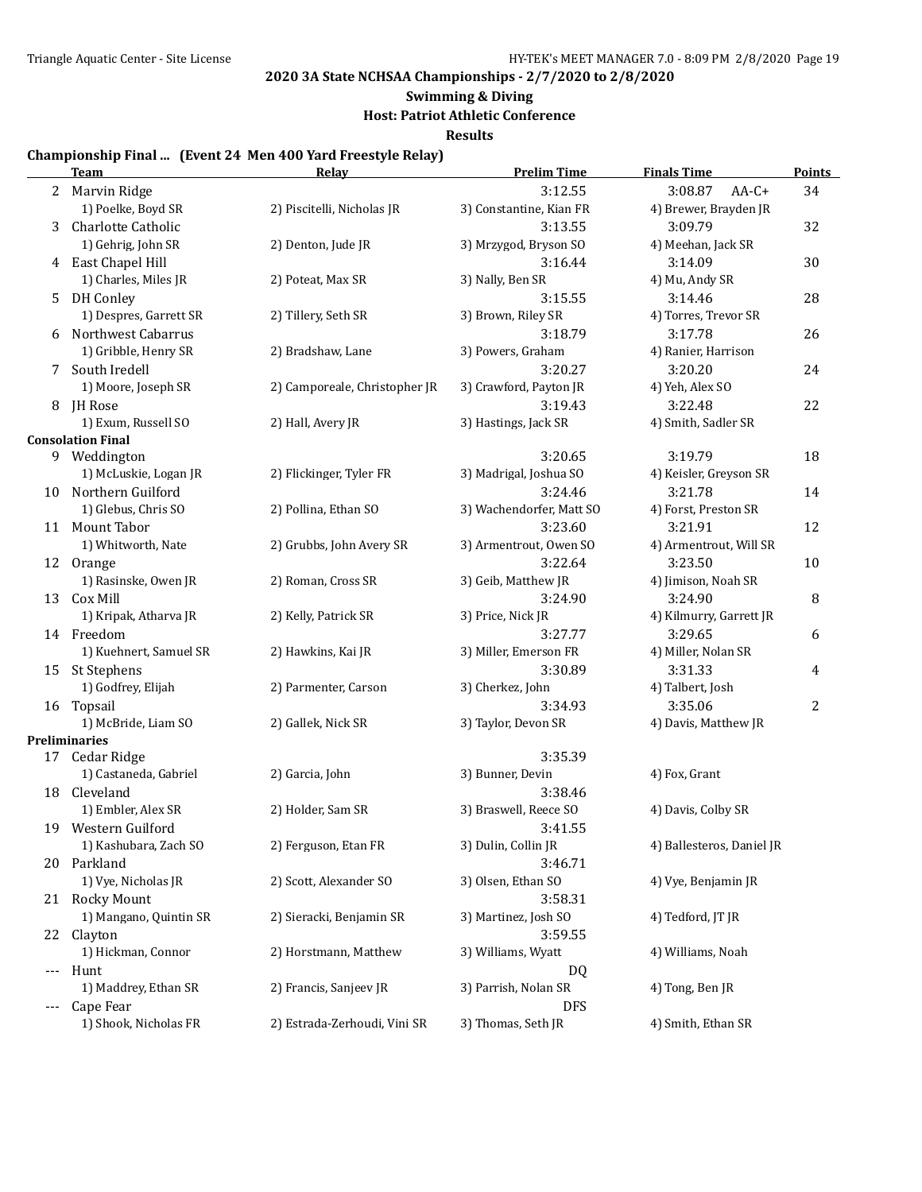**Swimming & Diving**

# **Host: Patriot Athletic Conference**

**Results**

# **Championship Final ... (Event 24 Men 400 Yard Freestyle Relay)**

|       | <b>Team</b>              | Relay                         | <b>Prelim Time</b>       | <b>Finals Time</b>        | <b>Points</b> |
|-------|--------------------------|-------------------------------|--------------------------|---------------------------|---------------|
|       | 2 Marvin Ridge           |                               | 3:12.55                  | 3:08.87<br>$AA-C+$        | 34            |
|       | 1) Poelke, Boyd SR       | 2) Piscitelli, Nicholas JR    | 3) Constantine, Kian FR  | 4) Brewer, Brayden JR     |               |
| 3     | Charlotte Catholic       |                               | 3:13.55                  | 3:09.79                   | 32            |
|       | 1) Gehrig, John SR       | 2) Denton, Jude JR            | 3) Mrzygod, Bryson SO    | 4) Meehan, Jack SR        |               |
|       | 4 East Chapel Hill       |                               | 3:16.44                  | 3:14.09                   | 30            |
|       | 1) Charles, Miles JR     | 2) Poteat, Max SR             | 3) Nally, Ben SR         | 4) Mu, Andy SR            |               |
| 5.    | DH Conley                |                               | 3:15.55                  | 3:14.46                   | 28            |
|       | 1) Despres, Garrett SR   | 2) Tillery, Seth SR           | 3) Brown, Riley SR       | 4) Torres, Trevor SR      |               |
| 6     | Northwest Cabarrus       |                               | 3:18.79                  | 3:17.78                   | 26            |
|       | 1) Gribble, Henry SR     | 2) Bradshaw, Lane             | 3) Powers, Graham        | 4) Ranier, Harrison       |               |
| 7     | South Iredell            |                               | 3:20.27                  | 3:20.20                   | 24            |
|       | 1) Moore, Joseph SR      | 2) Camporeale, Christopher JR | 3) Crawford, Payton JR   | 4) Yeh, Alex SO           |               |
|       | 8 JH Rose                |                               | 3:19.43                  | 3:22.48                   | 22            |
|       | 1) Exum, Russell SO      | 2) Hall, Avery JR             | 3) Hastings, Jack SR     | 4) Smith, Sadler SR       |               |
|       | <b>Consolation Final</b> |                               |                          |                           |               |
| 9     | Weddington               |                               | 3:20.65                  | 3:19.79                   | 18            |
|       | 1) McLuskie, Logan JR    | 2) Flickinger, Tyler FR       | 3) Madrigal, Joshua SO   | 4) Keisler, Greyson SR    |               |
|       | 10 Northern Guilford     |                               | 3:24.46                  | 3:21.78                   | 14            |
|       | 1) Glebus, Chris SO      | 2) Pollina, Ethan SO          | 3) Wachendorfer, Matt SO | 4) Forst, Preston SR      |               |
|       | 11 Mount Tabor           |                               | 3:23.60                  | 3:21.91                   | 12            |
|       | 1) Whitworth, Nate       | 2) Grubbs, John Avery SR      | 3) Armentrout, Owen SO   | 4) Armentrout, Will SR    |               |
|       | 12 Orange                |                               | 3:22.64                  | 3:23.50                   | 10            |
|       | 1) Rasinske, Owen JR     | 2) Roman, Cross SR            | 3) Geib, Matthew JR      | 4) Jimison, Noah SR       |               |
|       | 13 Cox Mill              |                               | 3:24.90                  | 3:24.90                   | 8             |
|       | 1) Kripak, Atharva JR    | 2) Kelly, Patrick SR          | 3) Price, Nick JR        | 4) Kilmurry, Garrett JR   |               |
|       | 14 Freedom               |                               | 3:27.77                  | 3:29.65                   | 6             |
|       | 1) Kuehnert, Samuel SR   | 2) Hawkins, Kai JR            | 3) Miller, Emerson FR    | 4) Miller, Nolan SR       |               |
|       | 15 St Stephens           |                               | 3:30.89                  | 3:31.33                   | 4             |
|       | 1) Godfrey, Elijah       | 2) Parmenter, Carson          | 3) Cherkez, John         | 4) Talbert, Josh          |               |
|       | 16 Topsail               |                               | 3:34.93                  | 3:35.06                   | 2             |
|       | 1) McBride, Liam SO      | 2) Gallek, Nick SR            | 3) Taylor, Devon SR      | 4) Davis, Matthew JR      |               |
|       | <b>Preliminaries</b>     |                               |                          |                           |               |
| 17    | Cedar Ridge              |                               | 3:35.39                  |                           |               |
|       | 1) Castaneda, Gabriel    | 2) Garcia, John               | 3) Bunner, Devin         | 4) Fox, Grant             |               |
|       | 18 Cleveland             |                               | 3:38.46                  |                           |               |
|       | 1) Embler, Alex SR       | 2) Holder, Sam SR             | 3) Braswell, Reece SO    | 4) Davis, Colby SR        |               |
|       | 19 Western Guilford      |                               | 3:41.55                  |                           |               |
|       | 1) Kashubara, Zach SO    | 2) Ferguson, Etan FR          | 3) Dulin, Collin JR      | 4) Ballesteros, Daniel JR |               |
|       | 20 Parkland              |                               | 3:46.71                  |                           |               |
|       | 1) Vye, Nicholas JR      | 2) Scott, Alexander SO        | 3) Olsen, Ethan SO       | 4) Vye, Benjamin JR       |               |
|       | 21 Rocky Mount           |                               | 3:58.31                  |                           |               |
|       | 1) Mangano, Quintin SR   | 2) Sieracki, Benjamin SR      | 3) Martinez, Josh SO     | 4) Tedford, JT JR         |               |
|       | 22 Clayton               |                               | 3:59.55                  |                           |               |
|       | 1) Hickman, Connor       | 2) Horstmann, Matthew         | 3) Williams, Wyatt       | 4) Williams, Noah         |               |
|       | --- Hunt                 |                               | DQ                       |                           |               |
|       | 1) Maddrey, Ethan SR     | 2) Francis, Sanjeev JR        | 3) Parrish, Nolan SR     | 4) Tong, Ben JR           |               |
| $---$ | Cape Fear                |                               | <b>DFS</b>               |                           |               |
|       | 1) Shook, Nicholas FR    | 2) Estrada-Zerhoudi, Vini SR  | 3) Thomas, Seth JR       | 4) Smith, Ethan SR        |               |
|       |                          |                               |                          |                           |               |